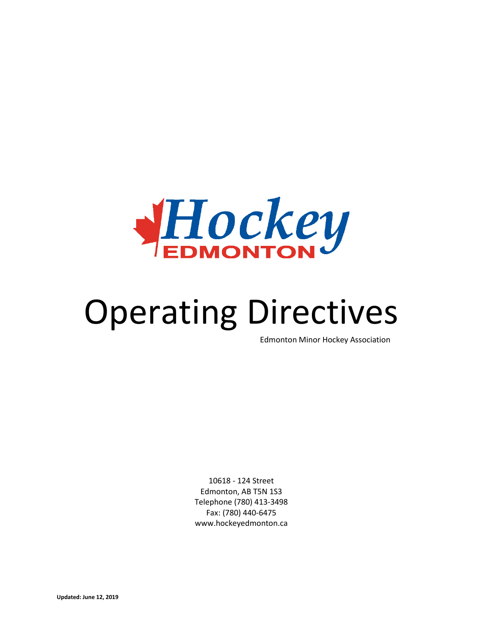

# Operating Directives

Edmonton Minor Hockey Association

10618 - 124 Street Edmonton, AB T5N 1S3 Telephone (780) 413-3498 Fax: (780) 440-6475 www.hockeyedmonton.ca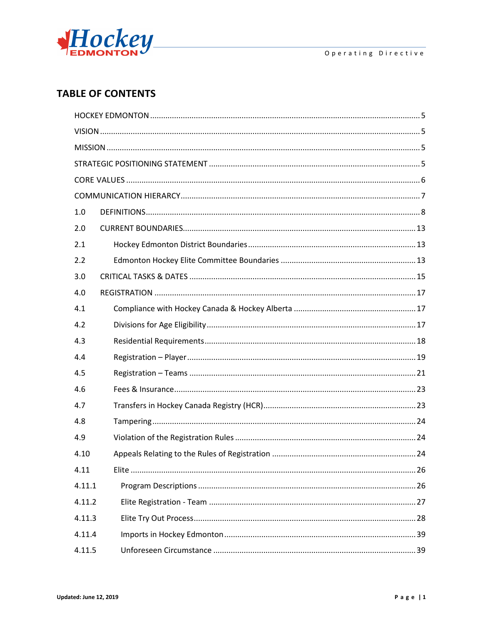

# **TABLE OF CONTENTS**

| 1.0    |  |
|--------|--|
| 2.0    |  |
| 2.1    |  |
| 2.2    |  |
| 3.0    |  |
| 4.0    |  |
| 4.1    |  |
| 4.2    |  |
| 4.3    |  |
| 4.4    |  |
| 4.5    |  |
| 4.6    |  |
| 4.7    |  |
| 4.8    |  |
| 4.9    |  |
| 4.10   |  |
| 4.11   |  |
| 4.11.1 |  |
| 4.11.2 |  |
| 4.11.3 |  |
| 4.11.4 |  |
| 4.11.5 |  |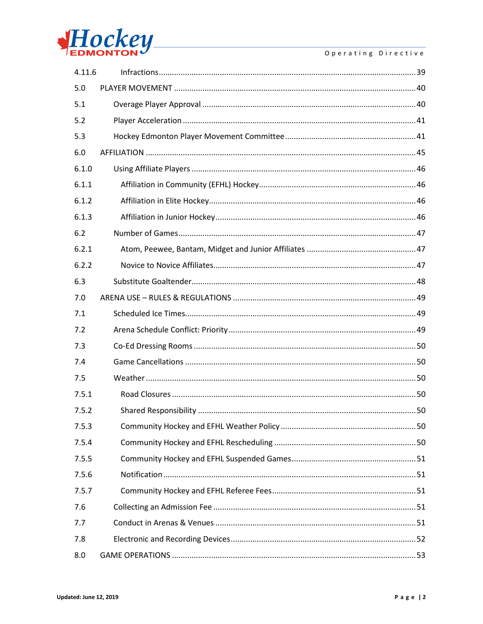

| 4.11.6 |  |
|--------|--|
| 5.0    |  |
| 5.1    |  |
| 5.2    |  |
| 5.3    |  |
| 6.0    |  |
| 6.1.0  |  |
| 6.1.1  |  |
| 6.1.2  |  |
| 6.1.3  |  |
| 6.2    |  |
| 6.2.1  |  |
| 6.2.2  |  |
| 6.3    |  |
| 7.0    |  |
| 7.1    |  |
| 7.2    |  |
| 7.3    |  |
| 7.4    |  |
| 7.5    |  |
| 7.5.1  |  |
| 7.5.2  |  |
| 7.5.3  |  |
| 7.5.4  |  |
| 7.5.5  |  |
| 7.5.6  |  |
| 7.5.7  |  |
| 7.6    |  |
| 7.7    |  |
| 7.8    |  |
| 8.0    |  |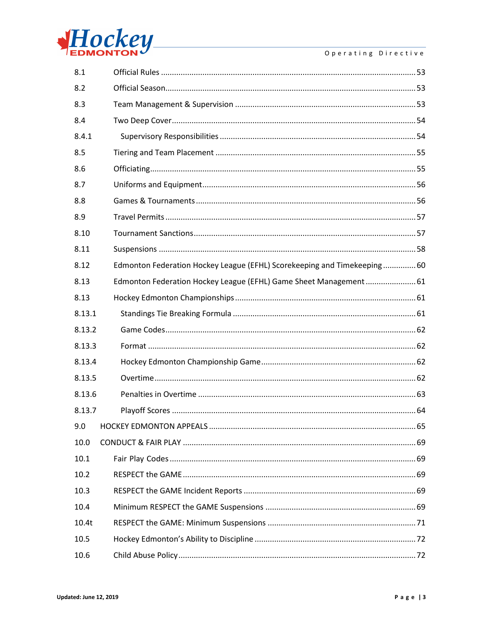

#### Operating Directive

| 8.1    |                                                                         |
|--------|-------------------------------------------------------------------------|
| 8.2    |                                                                         |
| 8.3    |                                                                         |
| 8.4    |                                                                         |
| 8.4.1  |                                                                         |
| 8.5    |                                                                         |
| 8.6    |                                                                         |
| 8.7    |                                                                         |
| 8.8    |                                                                         |
| 8.9    |                                                                         |
| 8.10   |                                                                         |
| 8.11   |                                                                         |
| 8.12   | Edmonton Federation Hockey League (EFHL) Scorekeeping and Timekeeping60 |
| 8.13   | Edmonton Federation Hockey League (EFHL) Game Sheet Management 61       |
| 8.13   |                                                                         |
| 8.13.1 |                                                                         |
| 8.13.2 |                                                                         |
| 8.13.3 |                                                                         |
| 8.13.4 |                                                                         |
| 8.13.5 |                                                                         |
| 8.13.6 |                                                                         |
| 8.13.7 |                                                                         |
| 9.0    |                                                                         |
| 10.0   |                                                                         |
| 10.1   |                                                                         |
| 10.2   |                                                                         |
| 10.3   |                                                                         |
| 10.4   |                                                                         |
| 10.4t  |                                                                         |
| 10.5   |                                                                         |
| 10.6   |                                                                         |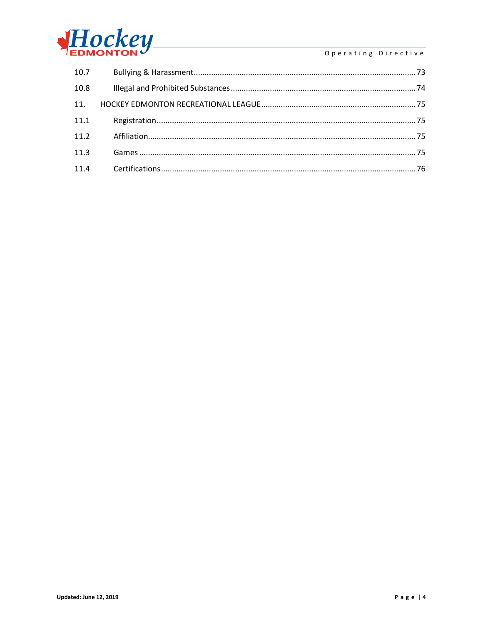

## Operating Directive

| 10.7 |  |
|------|--|
| 10.8 |  |
| 11.  |  |
| 11.1 |  |
| 11.2 |  |
| 11.3 |  |
| 11.4 |  |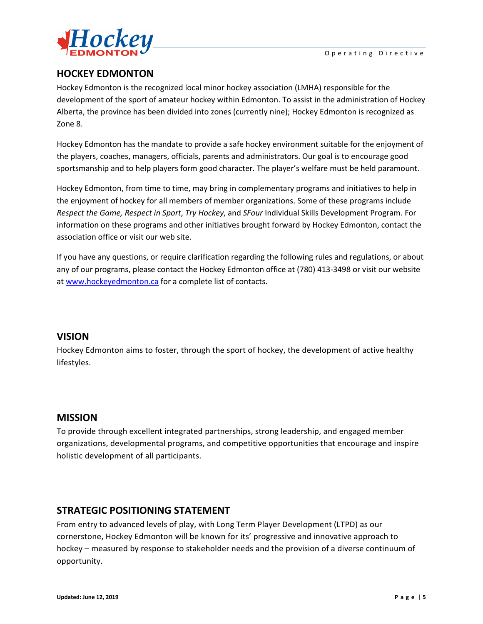

# <span id="page-5-0"></span>**HOCKEY EDMONTON**

Hockey Edmonton is the recognized local minor hockey association (LMHA) responsible for the development of the sport of amateur hockey within Edmonton. To assist in the administration of Hockey Alberta, the province has been divided into zones (currently nine); Hockey Edmonton is recognized as Zone 8.

Hockey Edmonton has the mandate to provide a safe hockey environment suitable for the enjoyment of the players, coaches, managers, officials, parents and administrators. Our goal is to encourage good sportsmanship and to help players form good character. The player's welfare must be held paramount.

Hockey Edmonton, from time to time, may bring in complementary programs and initiatives to help in the enjoyment of hockey for all members of member organizations. Some of these programs include *Respect the Game, Respect in Sport*, *Try Hockey*, and *SFour* Individual Skills Development Program. For information on these programs and other initiatives brought forward by Hockey Edmonton, contact the association office or visit our web site.

If you have any questions, or require clarification regarding the following rules and regulations, or about any of our programs, please contact the Hockey Edmonton office at (780) 413-3498 or visit our website at [www.hockeyedmonton.ca](http://www.hockeyedmonton.ca/) for a complete list of contacts.

## <span id="page-5-1"></span>**VISION**

Hockey Edmonton aims to foster, through the sport of hockey, the development of active healthy lifestyles.

## <span id="page-5-2"></span>**MISSION**

To provide through excellent integrated partnerships, strong leadership, and engaged member organizations, developmental programs, and competitive opportunities that encourage and inspire holistic development of all participants.

# <span id="page-5-3"></span>**STRATEGIC POSITIONING STATEMENT**

From entry to advanced levels of play, with Long Term Player Development (LTPD) as our cornerstone, Hockey Edmonton will be known for its' progressive and innovative approach to hockey – measured by response to stakeholder needs and the provision of a diverse continuum of opportunity.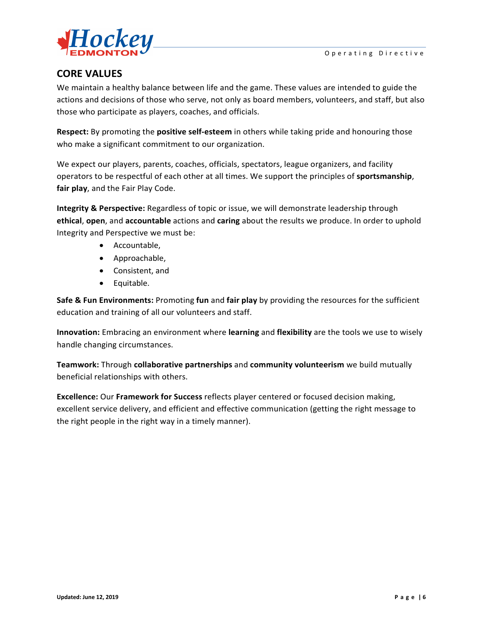

## <span id="page-6-0"></span>**CORE VALUES**

We maintain a healthy balance between life and the game. These values are intended to guide the actions and decisions of those who serve, not only as board members, volunteers, and staff, but also those who participate as players, coaches, and officials.

**Respect:** By promoting the **positive self-esteem** in others while taking pride and honouring those who make a significant commitment to our organization.

We expect our players, parents, coaches, officials, spectators, league organizers, and facility operators to be respectful of each other at all times. We support the principles of **sportsmanship**, **fair play**, and the Fair Play Code.

**Integrity & Perspective:** Regardless of topic or issue, we will demonstrate leadership through **ethical**, **open**, and **accountable** actions and **caring** about the results we produce. In order to uphold Integrity and Perspective we must be:

- Accountable,
- Approachable,
- Consistent, and
- Equitable.

**Safe & Fun Environments:** Promoting **fun** and **fair play** by providing the resources for the sufficient education and training of all our volunteers and staff.

**Innovation:** Embracing an environment where **learning** and **flexibility** are the tools we use to wisely handle changing circumstances.

**Teamwork:** Through **collaborative partnerships** and **community volunteerism** we build mutually beneficial relationships with others.

**Excellence:** Our **Framework for Success** reflects player centered or focused decision making, excellent service delivery, and efficient and effective communication (getting the right message to the right people in the right way in a timely manner).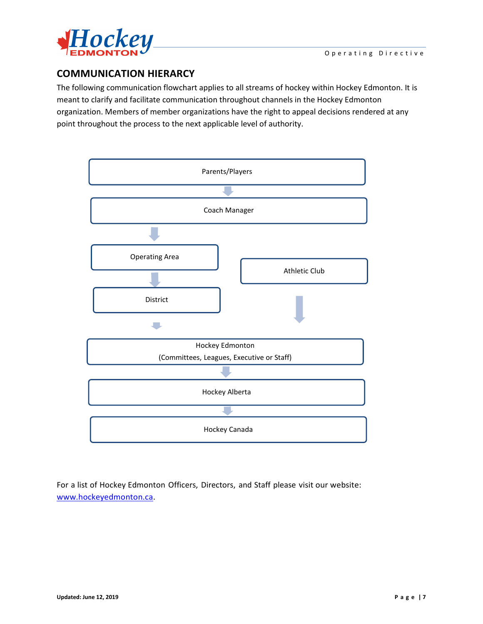

# <span id="page-7-0"></span>**COMMUNICATION HIERARCY**

The following communication flowchart applies to all streams of hockey within Hockey Edmonton. It is meant to clarify and facilitate communication throughout channels in the Hockey Edmonton organization. Members of member organizations have the right to appeal decisions rendered at any point throughout the process to the next applicable level of authority.



For a list of Hockey Edmonton Officers, Directors, and Staff please visit our website: www.hockeyedmonton.ca.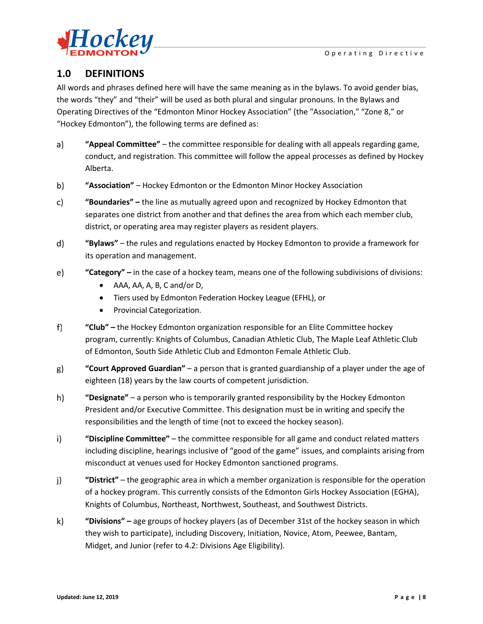

## <span id="page-8-0"></span>**1.0 DEFINITIONS**

All words and phrases defined here will have the same meaning as in the bylaws. To avoid gender bias, the words "they" and "their" will be used as both plural and singular pronouns. In the Bylaws and Operating Directives of the "Edmonton Minor Hockey Association" (the "Association," "Zone 8," or "Hockey Edmonton"), the following terms are defined as:

- $a)$ **"Appeal Committee"** – the committee responsible for dealing with all appeals regarding game, conduct, and registration. This committee will follow the appeal processes as defined by Hockey Alberta.
- b) **"Association"** – Hockey Edmonton or the Edmonton Minor Hockey Association
- c) **"Boundaries" –** the line as mutually agreed upon and recognized by Hockey Edmonton that separates one district from another and that defines the area from which each member club, district, or operating area may register players as resident players.
- d) **"Bylaws"** – the rules and regulations enacted by Hockey Edmonton to provide a framework for its operation and management.
- e) **"Category" –** in the case of a hockey team, means one of the following subdivisions of divisions:
	- AAA, AA, A, B, C and/or D,
	- Tiers used by Edmonton Federation Hockey League (EFHL), or
	- Provincial Categorization.
- $f)$ **"Club" –** the Hockey Edmonton organization responsible for an Elite Committee hockey program, currently: Knights of Columbus, Canadian Athletic Club, The Maple Leaf Athletic Club of Edmonton, South Side Athletic Club and Edmonton Female Athletic Club.
- g) **"Court Approved Guardian"** – a person that is granted guardianship of a player under the age of eighteen (18) years by the law courts of competent jurisdiction.
- h) **"Designate"** – a person who is temporarily granted responsibility by the Hockey Edmonton President and/or Executive Committee. This designation must be in writing and specify the responsibilities and the length of time (not to exceed the hockey season).
- $i)$ **"Discipline Committee"** – the committee responsible for all game and conduct related matters including discipline, hearings inclusive of "good of the game" issues, and complaints arising from misconduct at venues used for Hockey Edmonton sanctioned programs.
- **"District"**  the geographic area in which a member organization is responsible for the operation j) of a hockey program. This currently consists of the Edmonton Girls Hockey Association (EGHA), Knights of Columbus, Northeast, Northwest, Southeast, and Southwest Districts.
- $\mathsf{k}$ **"Divisions" –** age groups of hockey players (as of December 31st of the hockey season in which they wish to participate), including Discovery, Initiation, Novice, Atom, Peewee, Bantam, Midget, and Junior (refer to 4.2: Divisions Age Eligibility).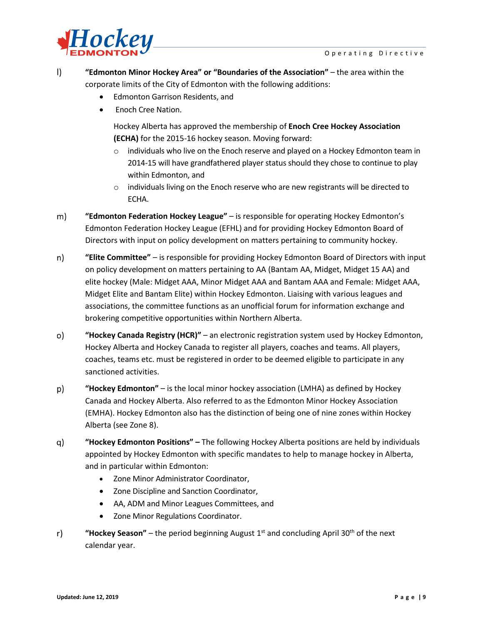

 $\vert$ **"Edmonton Minor Hockey Area" or "Boundaries of the Association"** – the area within the corporate limits of the City of Edmonton with the following additions:

- Edmonton Garrison Residents, and
- Enoch Cree Nation.

Hockey Alberta has approved the membership of **Enoch Cree Hockey Association (ECHA)** for the 2015-16 hockey season. Moving forward:

- $\circ$  individuals who live on the Enoch reserve and played on a Hockey Edmonton team in 2014-15 will have grandfathered player status should they chose to continue to play within Edmonton, and
- $\circ$  individuals living on the Enoch reserve who are new registrants will be directed to ECHA.
- $m)$ **"Edmonton Federation Hockey League"** – is responsible for operating Hockey Edmonton's Edmonton Federation Hockey League (EFHL) and for providing Hockey Edmonton Board of Directors with input on policy development on matters pertaining to community hockey.
- **"Elite Committee"** is responsible for providing Hockey Edmonton Board of Directors with input n) on policy development on matters pertaining to AA (Bantam AA, Midget, Midget 15 AA) and elite hockey (Male: Midget AAA, Minor Midget AAA and Bantam AAA and Female: Midget AAA, Midget Elite and Bantam Elite) within Hockey Edmonton. Liaising with various leagues and associations, the committee functions as an unofficial forum for information exchange and brokering competitive opportunities within Northern Alberta.
- o) **"Hockey Canada Registry (HCR)"** – an electronic registration system used by Hockey Edmonton, Hockey Alberta and Hockey Canada to register all players, coaches and teams. All players, coaches, teams etc. must be registered in order to be deemed eligible to participate in any sanctioned activities.
- **"Hockey Edmonton"** is the local minor hockey association (LMHA) as defined by Hockey p) Canada and Hockey Alberta. Also referred to as the Edmonton Minor Hockey Association (EMHA). Hockey Edmonton also has the distinction of being one of nine zones within Hockey Alberta (see Zone 8).
- q) **"Hockey Edmonton Positions" –** The following Hockey Alberta positions are held by individuals appointed by Hockey Edmonton with specific mandates to help to manage hockey in Alberta, and in particular within Edmonton:
	- Zone Minor Administrator Coordinator,
	- Zone Discipline and Sanction Coordinator,
	- AA, ADM and Minor Leagues Committees, and
	- Zone Minor Regulations Coordinator.
- "Hockey Season" the period beginning August  $1<sup>st</sup>$  and concluding April 30<sup>th</sup> of the next  $r)$ calendar year.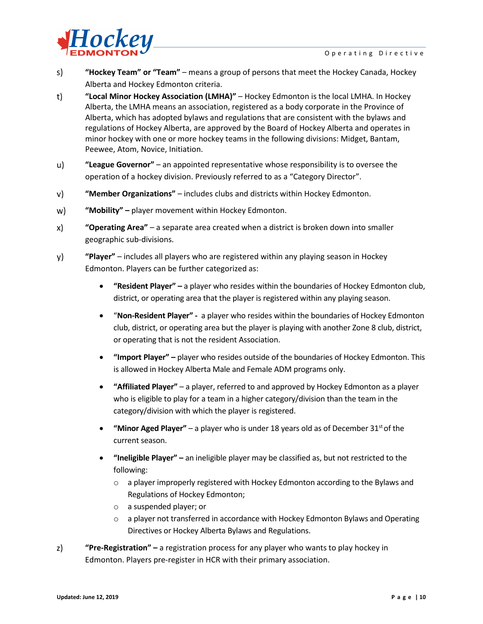

- **"Hockey Team" or "Team"**  means a group of persons that meet the Hockey Canada, Hockey s) Alberta and Hockey Edmonton criteria.
- $t)$ **"Local Minor Hockey Association (LMHA)"** – Hockey Edmonton is the local LMHA. In Hockey Alberta, the LMHA means an association, registered as a body corporate in the Province of Alberta, which has adopted bylaws and regulations that are consistent with the bylaws and regulations of Hockey Alberta, are approved by the Board of Hockey Alberta and operates in minor hockey with one or more hockey teams in the following divisions: Midget, Bantam, Peewee, Atom, Novice, Initiation.
- u) **"League Governor"** – an appointed representative whose responsibility is to oversee the operation of a hockey division. Previously referred to as a "Category Director".
- **"Member Organizations"**  includes clubs and districts within Hockey Edmonton. v)
- w) **"Mobility" –** player movement within Hockey Edmonton.
- $\mathsf{x}$ **"Operating Area"** – a separate area created when a district is broken down into smaller geographic sub-divisions.
- y) **"Player"** – includes all players who are registered within any playing season in Hockey Edmonton. Players can be further categorized as:
	- **"Resident Player" –** a player who resides within the boundaries of Hockey Edmonton club, district, or operating area that the player is registered within any playing season.
	- "**Non-Resident Player" -** a player who resides within the boundaries of Hockey Edmonton club, district, or operating area but the player is playing with another Zone 8 club, district, or operating that is not the resident Association.
	- **"Import Player" –** player who resides outside of the boundaries of Hockey Edmonton. This is allowed in Hockey Alberta Male and Female ADM programs only.
	- **"Affiliated Player"** a player, referred to and approved by Hockey Edmonton as a player who is eligible to play for a team in a higher category/division than the team in the category/division with which the player is registered.
	- **"Minor Aged Player"** a player who is under 18 years old as of December 31<sup>st</sup> of the current season.
	- **"Ineligible Player" –** an ineligible player may be classified as, but not restricted to the following:
		- $\circ$  a player improperly registered with Hockey Edmonton according to the Bylaws and Regulations of Hockey Edmonton;
		- o a suspended player; or
		- $\circ$  a player not transferred in accordance with Hockey Edmonton Bylaws and Operating Directives or Hockey Alberta Bylaws and Regulations.
- $z)$ **"Pre-Registration" –** a registration process for any player who wants to play hockey in Edmonton. Players pre-register in HCR with their primary association.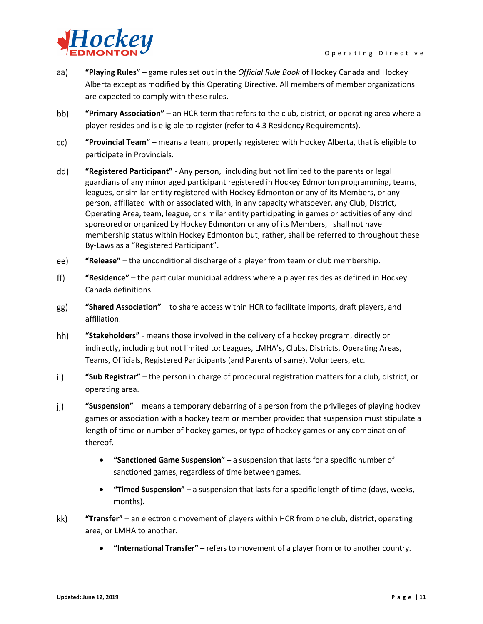

- aa) **"Playing Rules"** – game rules set out in the *Official Rule Book* of Hockey Canada and Hockey Alberta except as modified by this Operating Directive. All members of member organizations are expected to comply with these rules.
- bb) **"Primary Association"** – an HCR term that refers to the club, district, or operating area where a player resides and is eligible to register (refer to 4.3 Residency Requirements).
- cc) **"Provincial Team"** – means a team, properly registered with Hockey Alberta, that is eligible to participate in Provincials.
- dd) **"Registered Participant"** - Any person, including but not limited to the parents or legal guardians of any minor aged participant registered in Hockey Edmonton programming, teams, leagues, or similar entity registered with Hockey Edmonton or any of its Members, or any person, affiliated with or associated with, in any capacity whatsoever, any Club, District, Operating Area, team, league, or similar entity participating in games or activities of any kind sponsored or organized by Hockey Edmonton or any of its Members, shall not have membership status within Hockey Edmonton but, rather, shall be referred to throughout these By-Laws as a "Registered Participant".
- ee) **"Release"** – the unconditional discharge of a player from team or club membership.
- $\mathsf{ff}$ ) **"Residence"** – the particular municipal address where a player resides as defined in Hockey Canada definitions.
- gg) **"Shared Association"** – to share access within HCR to facilitate imports, draft players, and affiliation.
- hh) **"Stakeholders"** - means those involved in the delivery of a hockey program, directly or indirectly, including but not limited to: Leagues, LMHA's, Clubs, Districts, Operating Areas, Teams, Officials, Registered Participants (and Parents of same), Volunteers, etc.
- ii) **"Sub Registrar"** – the person in charge of procedural registration matters for a club, district, or operating area.
- **"Suspension"**  means a temporary debarring of a person from the privileges of playing hockey jj) games or association with a hockey team or member provided that suspension must stipulate a length of time or number of hockey games, or type of hockey games or any combination of thereof.
	- **"Sanctioned Game Suspension"** a suspension that lasts for a specific number of sanctioned games, regardless of time between games.
	- **"Timed Suspension"** a suspension that lasts for a specific length of time (days, weeks, months).
- **"Transfer"** an electronic movement of players within HCR from one club, district, operating kk) area, or LMHA to another.
	- **"International Transfer"**  refers to movement of a player from or to another country.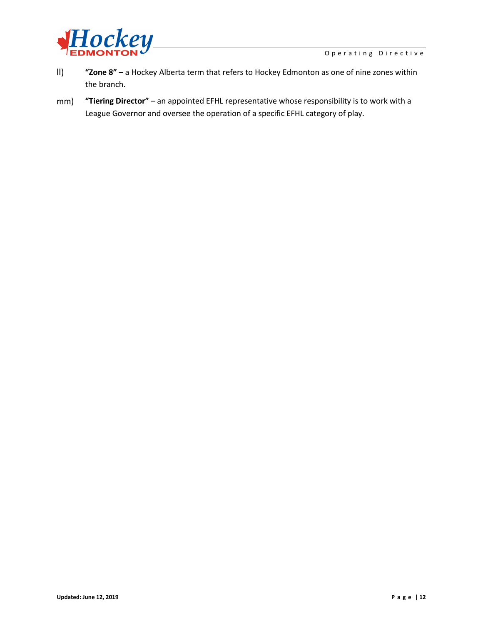

- **"Zone 8" –** a Hockey Alberta term that refers to Hockey Edmonton as one of nine zones within  $\parallel$ the branch.
- **"Tiering Director"** an appointed EFHL representative whose responsibility is to work with a mm) League Governor and oversee the operation of a specific EFHL category of play.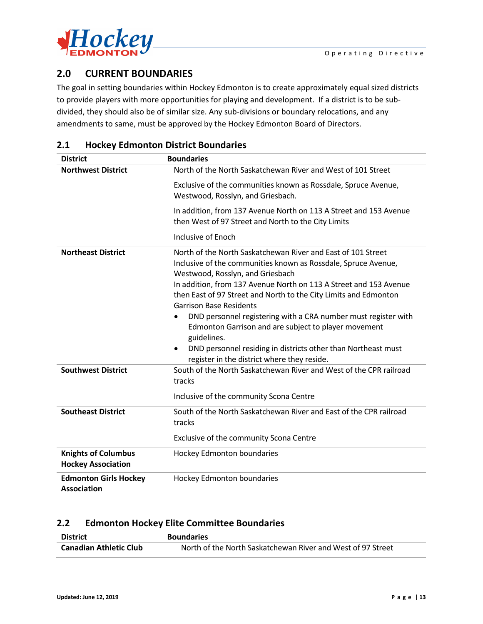

# <span id="page-13-0"></span>**2.0 CURRENT BOUNDARIES**

The goal in setting boundaries within Hockey Edmonton is to create approximately equal sized districts to provide players with more opportunities for playing and development. If a district is to be subdivided, they should also be of similar size. Any sub-divisions or boundary relocations, and any amendments to same, must be approved by the Hockey Edmonton Board of Directors.

## <span id="page-13-1"></span>**2.1 Hockey Edmonton District Boundaries**

| <b>District</b>                                         | <b>Boundaries</b>                                                                                                                                                                                                                                                                                                                                                                                                                                                                                                                                                                                      |
|---------------------------------------------------------|--------------------------------------------------------------------------------------------------------------------------------------------------------------------------------------------------------------------------------------------------------------------------------------------------------------------------------------------------------------------------------------------------------------------------------------------------------------------------------------------------------------------------------------------------------------------------------------------------------|
| <b>Northwest District</b>                               | North of the North Saskatchewan River and West of 101 Street                                                                                                                                                                                                                                                                                                                                                                                                                                                                                                                                           |
|                                                         | Exclusive of the communities known as Rossdale, Spruce Avenue,<br>Westwood, Rosslyn, and Griesbach.                                                                                                                                                                                                                                                                                                                                                                                                                                                                                                    |
|                                                         | In addition, from 137 Avenue North on 113 A Street and 153 Avenue<br>then West of 97 Street and North to the City Limits                                                                                                                                                                                                                                                                                                                                                                                                                                                                               |
|                                                         | Inclusive of Enoch                                                                                                                                                                                                                                                                                                                                                                                                                                                                                                                                                                                     |
| <b>Northeast District</b>                               | North of the North Saskatchewan River and East of 101 Street<br>Inclusive of the communities known as Rossdale, Spruce Avenue,<br>Westwood, Rosslyn, and Griesbach<br>In addition, from 137 Avenue North on 113 A Street and 153 Avenue<br>then East of 97 Street and North to the City Limits and Edmonton<br><b>Garrison Base Residents</b><br>DND personnel registering with a CRA number must register with<br>Edmonton Garrison and are subject to player movement<br>guidelines.<br>DND personnel residing in districts other than Northeast must<br>register in the district where they reside. |
| <b>Southwest District</b>                               | South of the North Saskatchewan River and West of the CPR railroad<br>tracks<br>Inclusive of the community Scona Centre                                                                                                                                                                                                                                                                                                                                                                                                                                                                                |
|                                                         |                                                                                                                                                                                                                                                                                                                                                                                                                                                                                                                                                                                                        |
| <b>Southeast District</b>                               | South of the North Saskatchewan River and East of the CPR railroad<br>tracks                                                                                                                                                                                                                                                                                                                                                                                                                                                                                                                           |
|                                                         | Exclusive of the community Scona Centre                                                                                                                                                                                                                                                                                                                                                                                                                                                                                                                                                                |
| <b>Knights of Columbus</b><br><b>Hockey Association</b> | Hockey Edmonton boundaries                                                                                                                                                                                                                                                                                                                                                                                                                                                                                                                                                                             |
| <b>Edmonton Girls Hockey</b><br><b>Association</b>      | Hockey Edmonton boundaries                                                                                                                                                                                                                                                                                                                                                                                                                                                                                                                                                                             |

## <span id="page-13-2"></span>**2.2 Edmonton Hockey Elite Committee Boundaries**

| <b>District</b>               | <b>Boundaries</b>                                           |
|-------------------------------|-------------------------------------------------------------|
| <b>Canadian Athletic Club</b> | North of the North Saskatchewan River and West of 97 Street |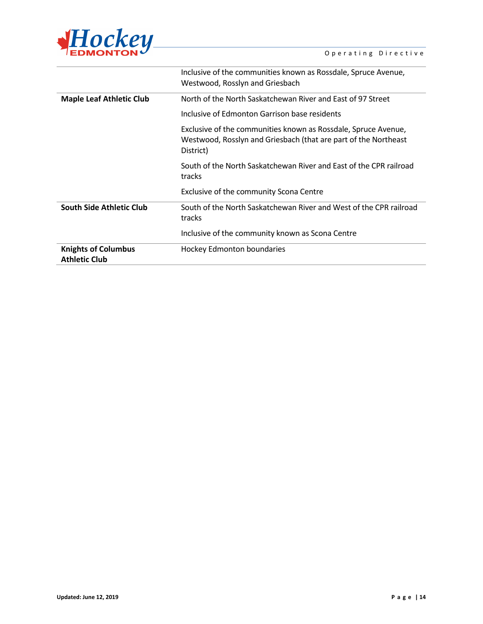

|                                                    | Inclusive of the communities known as Rossdale, Spruce Avenue,<br>Westwood, Rosslyn and Griesbach                                              |
|----------------------------------------------------|------------------------------------------------------------------------------------------------------------------------------------------------|
| <b>Maple Leaf Athletic Club</b>                    | North of the North Saskatchewan River and East of 97 Street                                                                                    |
|                                                    | Inclusive of Edmonton Garrison base residents                                                                                                  |
|                                                    | Exclusive of the communities known as Rossdale, Spruce Avenue,<br>Westwood, Rosslyn and Griesbach (that are part of the Northeast<br>District) |
|                                                    | South of the North Saskatchewan River and East of the CPR railroad<br>tracks                                                                   |
|                                                    | Exclusive of the community Scona Centre                                                                                                        |
| South Side Athletic Club                           | South of the North Saskatchewan River and West of the CPR railroad<br>tracks                                                                   |
|                                                    | Inclusive of the community known as Scona Centre                                                                                               |
| <b>Knights of Columbus</b><br><b>Athletic Club</b> | Hockey Edmonton boundaries                                                                                                                     |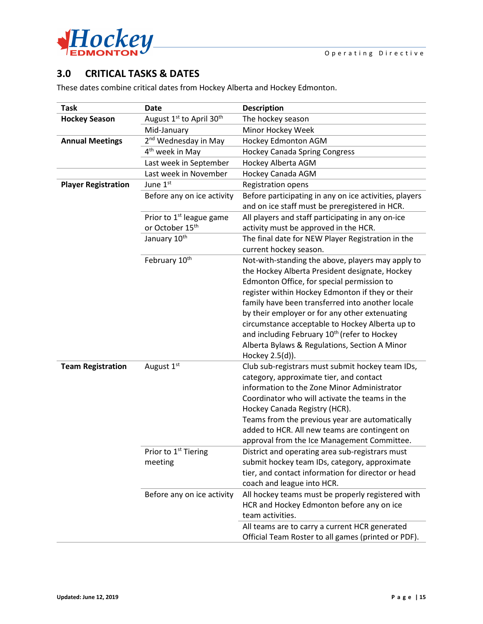

# <span id="page-15-0"></span>**3.0 CRITICAL TASKS & DATES**

These dates combine critical dates from Hockey Alberta and Hockey Edmonton.

| <b>Task</b>                | <b>Date</b>                                 | <b>Description</b>                                                                                                                                                                                                                                                                                                                                                              |
|----------------------------|---------------------------------------------|---------------------------------------------------------------------------------------------------------------------------------------------------------------------------------------------------------------------------------------------------------------------------------------------------------------------------------------------------------------------------------|
| <b>Hockey Season</b>       | August 1st to April 30th                    | The hockey season                                                                                                                                                                                                                                                                                                                                                               |
|                            | Mid-January                                 | Minor Hockey Week                                                                                                                                                                                                                                                                                                                                                               |
| <b>Annual Meetings</b>     | 2 <sup>nd</sup> Wednesday in May            | Hockey Edmonton AGM                                                                                                                                                                                                                                                                                                                                                             |
|                            | 4 <sup>th</sup> week in May                 | <b>Hockey Canada Spring Congress</b>                                                                                                                                                                                                                                                                                                                                            |
|                            | Last week in September                      | Hockey Alberta AGM                                                                                                                                                                                                                                                                                                                                                              |
|                            | Last week in November                       | Hockey Canada AGM                                                                                                                                                                                                                                                                                                                                                               |
| <b>Player Registration</b> | June 1st                                    | Registration opens                                                                                                                                                                                                                                                                                                                                                              |
|                            | Before any on ice activity                  | Before participating in any on ice activities, players<br>and on ice staff must be preregistered in HCR.                                                                                                                                                                                                                                                                        |
|                            | Prior to 1 <sup>st</sup> league game        | All players and staff participating in any on-ice                                                                                                                                                                                                                                                                                                                               |
|                            | or October 15 <sup>th</sup>                 | activity must be approved in the HCR.                                                                                                                                                                                                                                                                                                                                           |
|                            | January 10 <sup>th</sup>                    | The final date for NEW Player Registration in the                                                                                                                                                                                                                                                                                                                               |
|                            |                                             | current hockey season.                                                                                                                                                                                                                                                                                                                                                          |
|                            | February 10th                               | Not-with-standing the above, players may apply to<br>the Hockey Alberta President designate, Hockey<br>Edmonton Office, for special permission to<br>register within Hockey Edmonton if they or their<br>family have been transferred into another locale<br>by their employer or for any other extenuating                                                                     |
|                            |                                             | circumstance acceptable to Hockey Alberta up to<br>and including February 10 <sup>th</sup> (refer to Hockey<br>Alberta Bylaws & Regulations, Section A Minor<br>Hockey 2.5(d)).                                                                                                                                                                                                 |
| <b>Team Registration</b>   | August 1st                                  | Club sub-registrars must submit hockey team IDs,<br>category, approximate tier, and contact<br>information to the Zone Minor Administrator<br>Coordinator who will activate the teams in the<br>Hockey Canada Registry (HCR).<br>Teams from the previous year are automatically<br>added to HCR. All new teams are contingent on<br>approval from the Ice Management Committee. |
|                            | Prior to 1 <sup>st</sup> Tiering<br>meeting | District and operating area sub-registrars must<br>submit hockey team IDs, category, approximate<br>tier, and contact information for director or head<br>coach and league into HCR.                                                                                                                                                                                            |
|                            | Before any on ice activity                  | All hockey teams must be properly registered with<br>HCR and Hockey Edmonton before any on ice<br>team activities.                                                                                                                                                                                                                                                              |
|                            |                                             | All teams are to carry a current HCR generated<br>Official Team Roster to all games (printed or PDF).                                                                                                                                                                                                                                                                           |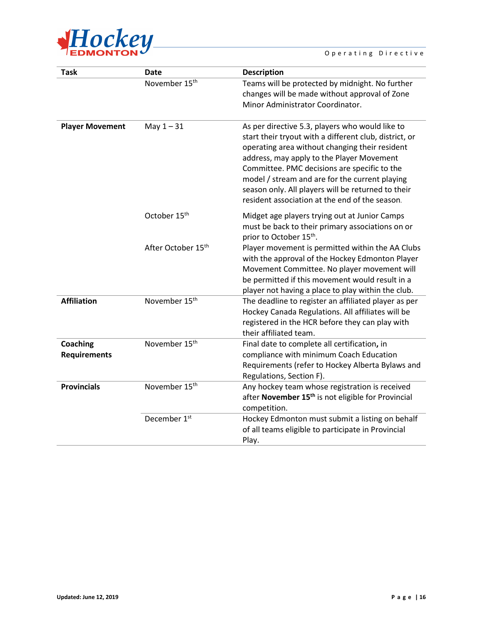

#### Operating Directive

| <b>Task</b>                     | <b>Date</b>                    | <b>Description</b>                                                                                                                                                                                                                                                                                                                                                                                                 |
|---------------------------------|--------------------------------|--------------------------------------------------------------------------------------------------------------------------------------------------------------------------------------------------------------------------------------------------------------------------------------------------------------------------------------------------------------------------------------------------------------------|
|                                 | November 15 <sup>th</sup>      | Teams will be protected by midnight. No further<br>changes will be made without approval of Zone<br>Minor Administrator Coordinator.                                                                                                                                                                                                                                                                               |
| <b>Player Movement</b>          | May $1 - 31$                   | As per directive 5.3, players who would like to<br>start their tryout with a different club, district, or<br>operating area without changing their resident<br>address, may apply to the Player Movement<br>Committee. PMC decisions are specific to the<br>model / stream and are for the current playing<br>season only. All players will be returned to their<br>resident association at the end of the season. |
|                                 | October 15 <sup>th</sup>       | Midget age players trying out at Junior Camps<br>must be back to their primary associations on or<br>prior to October 15 <sup>th</sup> .                                                                                                                                                                                                                                                                           |
|                                 | After October 15 <sup>th</sup> | Player movement is permitted within the AA Clubs<br>with the approval of the Hockey Edmonton Player<br>Movement Committee. No player movement will<br>be permitted if this movement would result in a<br>player not having a place to play within the club.                                                                                                                                                        |
| <b>Affiliation</b>              | November 15 <sup>th</sup>      | The deadline to register an affiliated player as per<br>Hockey Canada Regulations. All affiliates will be<br>registered in the HCR before they can play with<br>their affiliated team.                                                                                                                                                                                                                             |
| Coaching<br><b>Requirements</b> | November 15 <sup>th</sup>      | Final date to complete all certification, in<br>compliance with minimum Coach Education<br>Requirements (refer to Hockey Alberta Bylaws and<br>Regulations, Section F).                                                                                                                                                                                                                                            |
| <b>Provincials</b>              | November 15 <sup>th</sup>      | Any hockey team whose registration is received<br>after November 15 <sup>th</sup> is not eligible for Provincial<br>competition.                                                                                                                                                                                                                                                                                   |
|                                 | December 1st                   | Hockey Edmonton must submit a listing on behalf<br>of all teams eligible to participate in Provincial<br>Play.                                                                                                                                                                                                                                                                                                     |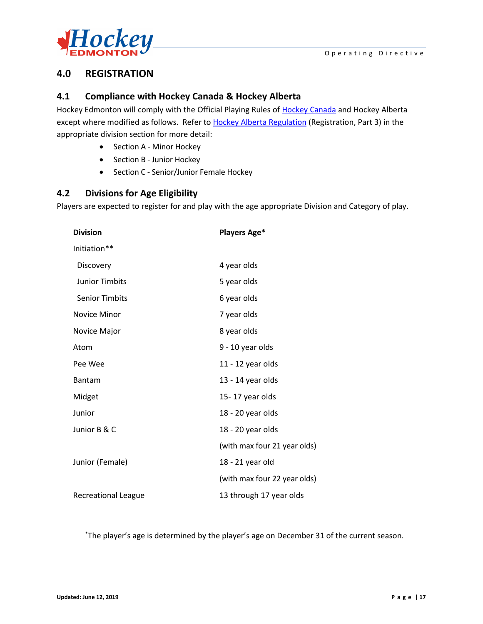

## <span id="page-17-0"></span>**4.0 REGISTRATION**

## <span id="page-17-1"></span>**4.1 Compliance with Hockey Canada & Hockey Alberta**

Hockey Edmonton will comply with the Official Playing Rules of [Hockey Canada](http://www.hockeycanada.ca/en-ca) and Hockey Alberta except where modified as follows. Refer to [Hockey Alberta Regulation](http://www.hockeyalberta.ca/) (Registration, Part 3) in the appropriate division section for more detail:

- Section A Minor Hockey
- Section B Junior Hockey
- Section C Senior/Junior Female Hockey

## <span id="page-17-2"></span>**4.2 Divisions for Age Eligibility**

Players are expected to register for and play with the age appropriate Division and Category of play.

| <b>Division</b>            | <b>Players Age*</b>          |  |  |  |
|----------------------------|------------------------------|--|--|--|
| Initiation**               |                              |  |  |  |
| Discovery                  | 4 year olds                  |  |  |  |
| <b>Junior Timbits</b>      | 5 year olds                  |  |  |  |
| <b>Senior Timbits</b>      | 6 year olds                  |  |  |  |
| <b>Novice Minor</b>        | 7 year olds                  |  |  |  |
| Novice Major               | 8 year olds                  |  |  |  |
| Atom                       | 9 - 10 year olds             |  |  |  |
| Pee Wee                    | 11 - 12 year olds            |  |  |  |
| Bantam                     | 13 - 14 year olds            |  |  |  |
| Midget                     | 15-17 year olds              |  |  |  |
| Junior                     | 18 - 20 year olds            |  |  |  |
| Junior B & C               | 18 - 20 year olds            |  |  |  |
|                            | (with max four 21 year olds) |  |  |  |
| Junior (Female)            | 18 - 21 year old             |  |  |  |
|                            | (with max four 22 year olds) |  |  |  |
| <b>Recreational League</b> | 13 through 17 year olds      |  |  |  |

\* The player's age is determined by the player's age on December 31 of the current season.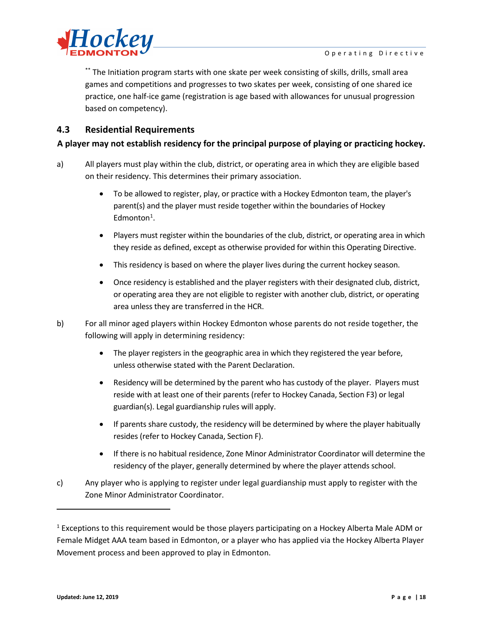

\*\* The Initiation program starts with one skate per week consisting of skills, drills, small area games and competitions and progresses to two skates per week, consisting of one shared ice practice, one half-ice game (registration is age based with allowances for unusual progression based on competency).

## <span id="page-18-0"></span>**4.3 Residential Requirements**

## **A player may not establish residency for the principal purpose of playing or practicing hockey.**

- a) All players must play within the club, district, or operating area in which they are eligible based on their residency. This determines their primary association.
	- To be allowed to register, play, or practice with a Hockey Edmonton team, the player's parent(s) and the player must reside together within the boundaries of Hockey Edmonton<sup>1</sup>.
	- Players must register within the boundaries of the club, district, or operating area in which they reside as defined, except as otherwise provided for within this Operating Directive.
	- This residency is based on where the player lives during the current hockey season.
	- Once residency is established and the player registers with their designated club, district, or operating area they are not eligible to register with another club, district, or operating area unless they are transferred in the HCR.
- b) For all minor aged players within Hockey Edmonton whose parents do not reside together, the following will apply in determining residency:
	- The player registers in the geographic area in which they registered the year before, unless otherwise stated with the [Parent Declaration.](http://fscs.rampinteractive.com/hockeyedmonton/files/association/Parent%20Declaration%20Form%20NEW.pdf)
	- Residency will be determined by the parent who has custody of the player. Players must reside with at least one of their parents (refer to Hockey Canada, Section F3) or legal guardian(s). Legal guardianship rules will apply.
	- If parents share custody, the residency will be determined by where the player habitually resides (refer to Hockey Canada, Section F).
	- If there is no habitual residence, Zone Minor Administrator Coordinator will determine the residency of the player, generally determined by where the player attends school.
- c) Any player who is applying to register under legal guardianship must apply to register with the Zone Minor Administrator Coordinator.

 $\overline{a}$ 

<span id="page-18-1"></span><sup>&</sup>lt;sup>1</sup> Exceptions to this requirement would be those players participating on a Hockey Alberta Male ADM or Female Midget AAA team based in Edmonton, or a player who has applied via the Hockey Alberta Player Movement process and been approved to play in Edmonton.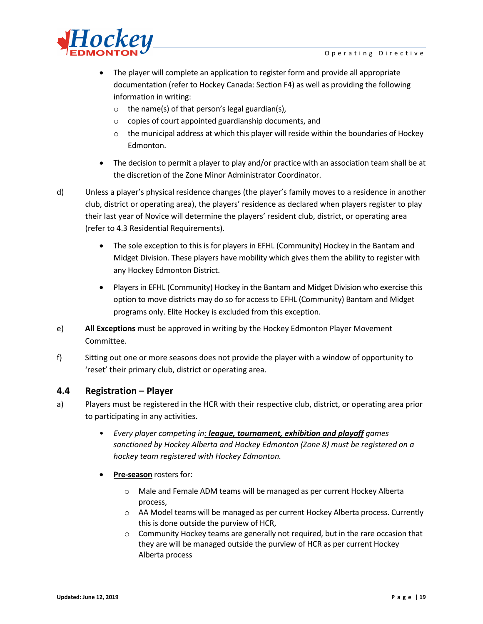

- The player will complete an application to register form and provide all appropriate documentation (refer to Hockey Canada: Section F4) as well as providing the following information in writing:
	- o the name(s) of that person's legal guardian(s),
	- o copies of court appointed guardianship documents, and
	- $\circ$  the municipal address at which this player will reside within the boundaries of Hockey Edmonton.
- The decision to permit a player to play and/or practice with an association team shall be at the discretion of the Zone Minor Administrator Coordinator.
- d) Unless a player's physical residence changes (the player's family moves to a residence in another club, district or operating area), the players' residence as declared when players register to play their last year of Novice will determine the players' resident club, district, or operating area (refer to 4.3 Residential Requirements).
	- The sole exception to this is for players in EFHL (Community) Hockey in the Bantam and Midget Division. These players have mobility which gives them the ability to register with any Hockey Edmonton District.
	- Players in EFHL (Community) Hockey in the Bantam and Midget Division who exercise this option to move districts may do so for access to EFHL (Community) Bantam and Midget programs only. Elite Hockey is excluded from this exception.
- e) **All Exceptions** must be approved in writing by the Hockey Edmonton Player Movement Committee.
- f) Sitting out one or more seasons does not provide the player with a window of opportunity to 'reset' their primary club, district or operating area.

## <span id="page-19-0"></span>**4.4 Registration – Player**

- a) Players must be registered in the HCR with their respective club, district, or operating area prior to participating in any activities.
	- *Every player competing in: league, tournament, exhibition and playoff games sanctioned by Hockey Alberta and Hockey Edmonton (Zone 8) must be registered on a hockey team registered with Hockey Edmonton.*
	- **Pre-season** rosters for:
		- o Male and Female ADM teams will be managed as per current Hockey Alberta process,
		- o AA Model teams will be managed as per current Hockey Alberta process. Currently this is done outside the purview of HCR,
		- $\circ$  Community Hockey teams are generally not required, but in the rare occasion that they are will be managed outside the purview of HCR as per current Hockey Alberta process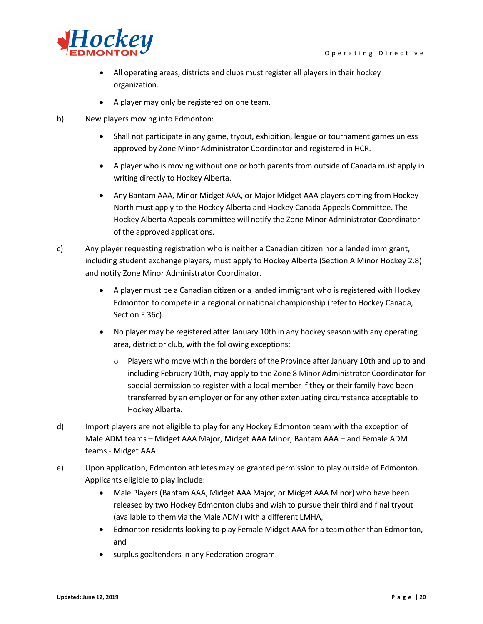

- All operating areas, districts and clubs must register all players in their hockey organization.
- A player may only be registered on one team.
- b) New players moving into Edmonton:
	- Shall not participate in any game, tryout, exhibition, league or tournament games unless approved by Zone Minor Administrator Coordinator and registered in HCR.
	- A player who is moving without one or both parents from outside of Canada must apply in writing directly to Hockey Alberta.
	- Any Bantam AAA, Minor Midget AAA, or Major Midget AAA players coming from Hockey North must apply to the Hockey Alberta and Hockey Canada Appeals Committee. The Hockey Alberta Appeals committee will notify the Zone Minor Administrator Coordinator of the approved applications.
- c) Any player requesting registration who is neither a Canadian citizen nor a landed immigrant, including student exchange players, must apply to Hockey Alberta (Section A Minor Hockey 2.8) and notify Zone Minor Administrator Coordinator.
	- A player must be a Canadian citizen or a landed immigrant who is registered with Hockey Edmonton to compete in a regional or national championship (refer to Hockey Canada, Section E 36c).
	- No player may be registered after January 10th in any hockey season with any operating area, district or club, with the following exceptions:
		- $\circ$  Players who move within the borders of the Province after January 10th and up to and including February 10th, may apply to the Zone 8 Minor Administrator Coordinator for special permission to register with a local member if they or their family have been transferred by an employer or for any other extenuating circumstance acceptable to Hockey Alberta.
- d) Import players are not eligible to play for any Hockey Edmonton team with the exception of Male ADM teams – Midget AAA Major, Midget AAA Minor, Bantam AAA – and Female ADM teams - Midget AAA.
- e) Upon application, Edmonton athletes may be granted permission to play outside of Edmonton. Applicants eligible to play include:
	- Male Players (Bantam AAA, Midget AAA Major, or Midget AAA Minor) who have been released by two Hockey Edmonton clubs and wish to pursue their third and final tryout (available to them via the Male ADM) with a different LMHA,
	- Edmonton residents looking to play Female Midget AAA for a team other than Edmonton, and
	- surplus goaltenders in any Federation program.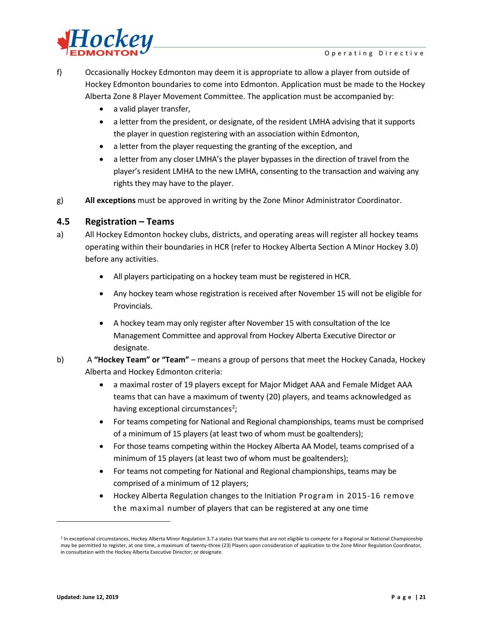

f) Occasionally Hockey Edmonton may deem it is appropriate to allow a player from outside of Hockey Edmonton boundaries to come into Edmonton. Application must be made to the Hockey Alberta Zone 8 Player Movement Committee. The application must be accompanied by:

- a valid player transfer,
- a letter from the president, or designate, of the resident LMHA advising that it supports the player in question registering with an association within Edmonton,
- a letter from the player requesting the granting of the exception, and
- a letter from any closer LMHA's the player bypasses in the direction of travel from the player's resident LMHA to the new LMHA, consenting to the transaction and waiving any rights they may have to the player.
- g) **All exceptions** must be approved in writing by the Zone Minor Administrator Coordinator.

## <span id="page-21-0"></span>**4.5 Registration – Teams**

- a) All Hockey Edmonton hockey clubs, districts, and operating areas will register all hockey teams operating within their boundaries in HCR (refer to Hockey Alberta Section A Minor Hockey 3.0) before any activities.
	- All players participating on a hockey team must be registered in HCR.
	- Any hockey team whose registration is received after November 15 will not be eligible for Provincials.
	- A hockey team may only register after November 15 with consultation of the Ice Management Committee and approval from Hockey Alberta Executive Director or designate.
- b) A **"Hockey Team" or "Team"**  means a group of persons that meet the Hockey Canada, Hockey Alberta and Hockey Edmonton criteria:
	- a maximal roster of 19 players except for Major Midget AAA and Female Midget AAA teams that can have a maximum of twenty (20) players, and teams acknowledged as having exceptional circumstances<sup>[2](#page-21-1)</sup>;
	- For teams competing for National and Regional championships, teams must be comprised of a minimum of 15 players (at least two of whom must be goaltenders);
	- For those teams competing within the Hockey Alberta AA Model, teams comprised of a minimum of 15 players (at least two of whom must be goaltenders);
	- For teams not competing for National and Regional championships, teams may be comprised of a minimum of 12 players;
	- Hockey Alberta Regulation changes to the Initiation Program in 2015-16 remove the maximal number of players that can be registered at any one time

l

<span id="page-21-1"></span><sup>&</sup>lt;sup>2</sup> In exceptional circumstances, Hockey Alberta Minor Regulation 3.7.a states that teams that are not eligible to compete for a Regional or National Championship may be permitted to register, at one time, a maximum of twenty-three (23) Players upon consideration of application to the Zone Minor Regulation Coordinator, in consultation with the Hockey Alberta Executive Director; or designate.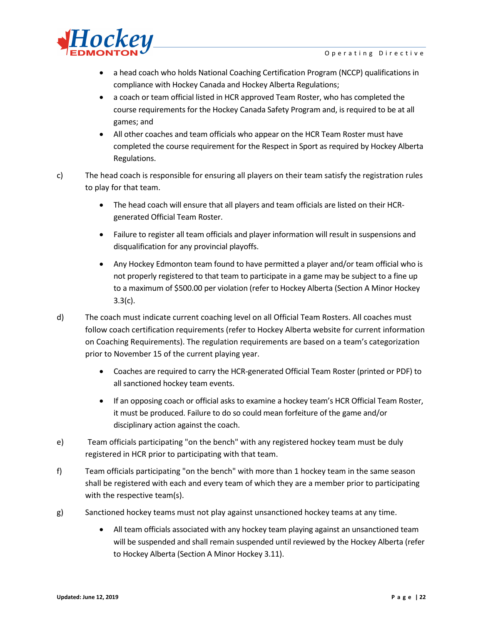

- a head coach who holds National Coaching Certification Program (NCCP) qualifications in compliance with Hockey Canada and Hockey Alberta Regulations;
- a coach or team official listed in HCR approved Team Roster, who has completed the course requirements for the Hockey Canada Safety Program and, is required to be at all games; and
- All other coaches and team officials who appear on the HCR Team Roster must have completed the course requirement for the Respect in Sport as required by Hockey Alberta Regulations.
- c) The head coach is responsible for ensuring all players on their team satisfy the registration rules to play for that team.
	- The head coach will ensure that all players and team officials are listed on their HCRgenerated Official Team Roster.
	- Failure to register all team officials and player information will result in suspensions and disqualification for any provincial playoffs.
	- Any Hockey Edmonton team found to have permitted a player and/or team official who is not properly registered to that team to participate in a game may be subject to a fine up to a maximum of \$500.00 per violation (refer to Hockey Alberta (Section A Minor Hockey 3.3(c).
- d) The coach must indicate current coaching level on all Official Team Rosters. All coaches must follow coach certification requirements (refer to Hockey Alberta website for current information on [Coaching Requirements\)](http://www.hockeyalberta.ca/index.php/ci_id/2535/la_id/1.html). The regulation requirements are based on a team's categorization prior to November 15 of the current playing year.
	- Coaches are required to carry the HCR-generated Official Team Roster (printed or PDF) to all sanctioned hockey team events.
	- If an opposing coach or official asks to examine a hockey team's HCR Official Team Roster, it must be produced. Failure to do so could mean forfeiture of the game and/or disciplinary action against the coach.
- e) Team officials participating "on the bench" with any registered hockey team must be duly registered in HCR prior to participating with that team.
- f) Team officials participating "on the bench" with more than 1 hockey team in the same season shall be registered with each and every team of which they are a member prior to participating with the respective team(s).
- g) Sanctioned hockey teams must not play against unsanctioned hockey teams at any time.
	- All team officials associated with any hockey team playing against an unsanctioned team will be suspended and shall remain suspended until reviewed by the Hockey Alberta (refer to Hockey Alberta (Section A Minor Hockey 3.11).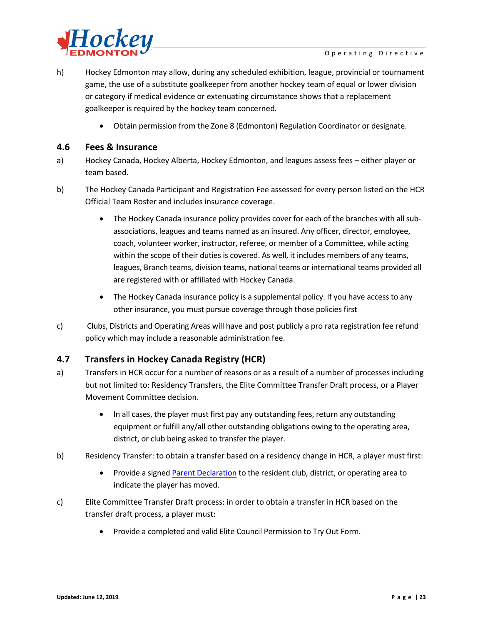

- h) Hockey Edmonton may allow, during any scheduled exhibition, league, provincial or tournament game, the use of a substitute goalkeeper from another hockey team of equal or lower division or category if medical evidence or extenuating circumstance shows that a replacement goalkeeper is required by the hockey team concerned.
	- Obtain permission from the Zone 8 (Edmonton) Regulation Coordinator or designate.

## <span id="page-23-0"></span>**4.6 Fees & Insurance**

- a) Hockey Canada, Hockey Alberta, Hockey Edmonton, and leagues assess fees either player or team based.
- b) The Hockey Canada Participant and Registration Fee assessed for every person listed on the HCR Official Team Roster and includes insurance coverage.
	- The Hockey Canada insurance policy provides cover for each of the branches with all subassociations, leagues and teams named as an insured. Any officer, director, employee, coach, volunteer worker, instructor, referee, or member of a Committee, while acting within the scope of their duties is covered. As well, it includes members of any teams, leagues, Branch teams, division teams, national teams or international teams provided all are registered with or affiliated with Hockey Canada.
	- The Hockey Canada insurance policy is a supplemental policy. If you have access to any other insurance, you must pursue coverage through those policies first
- c) Clubs, Districts and Operating Areas will have and post publicly a pro rata registration fee refund policy which may include a reasonable administration fee.

## <span id="page-23-1"></span>**4.7 Transfers in Hockey Canada Registry (HCR)**

- a) Transfers in HCR occur for a number of reasons or as a result of a number of processes including but not limited to: Residency Transfers, the Elite Committee Transfer Draft process, or a Player Movement Committee decision.
	- In all cases, the player must first pay any outstanding fees, return any outstanding equipment or fulfill any/all other outstanding obligations owing to the operating area, district, or club being asked to transfer the player.
- b) Residency Transfer: to obtain a transfer based on a residency change in HCR, a player must first:
	- Provide a signed [Parent Declaration](http://fscs.rampinteractive.com/hockeyedmonton/files/association/Parent%20Declaration%20Form%20NEW.pdf) to the resident club, district, or operating area to indicate the player has moved.
- c) Elite Committee Transfer Draft process: in order to obtain a transfer in HCR based on the transfer draft process, a player must:
	- Provide a completed and valid Elite Council Permission to Try Out Form.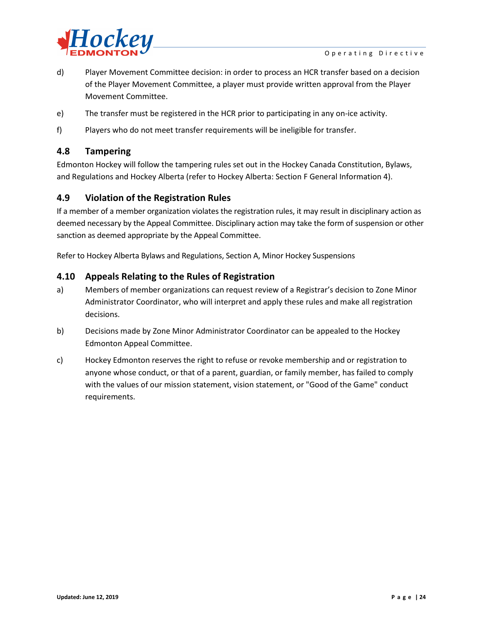

- d) Player Movement Committee decision: in order to process an HCR transfer based on a decision of the Player Movement Committee, a player must provide written approval from the Player Movement Committee.
- e) The transfer must be registered in the HCR prior to participating in any on-ice activity.
- f) Players who do not meet transfer requirements will be ineligible for transfer.

## <span id="page-24-0"></span>**4.8 Tampering**

Edmonton Hockey will follow the tampering rules set out in the Hockey Canada Constitution, Bylaws, and Regulations and Hockey Alberta (refer to Hockey Alberta: Section F General Information 4).

## <span id="page-24-1"></span>**4.9 Violation of the Registration Rules**

If a member of a member organization violates the registration rules, it may result in disciplinary action as deemed necessary by the Appeal Committee. Disciplinary action may take the form of suspension or other sanction as deemed appropriate by the Appeal Committee.

Refer to Hockey Alberta Bylaws and Regulations, Section A, Minor Hockey Suspensions

## <span id="page-24-2"></span>**4.10 Appeals Relating to the Rules of Registration**

- a) Members of member organizations can request review of a Registrar's decision to Zone Minor Administrator Coordinator, who will interpret and apply these rules and make all registration decisions.
- b) Decisions made by Zone Minor Administrator Coordinator can be appealed to the Hockey Edmonton Appeal Committee.
- c) Hockey Edmonton reserves the right to refuse or revoke membership and or registration to anyone whose conduct, or that of a parent, guardian, or family member, has failed to comply with the values of our mission statement, vision statement, or "Good of the Game" conduct requirements.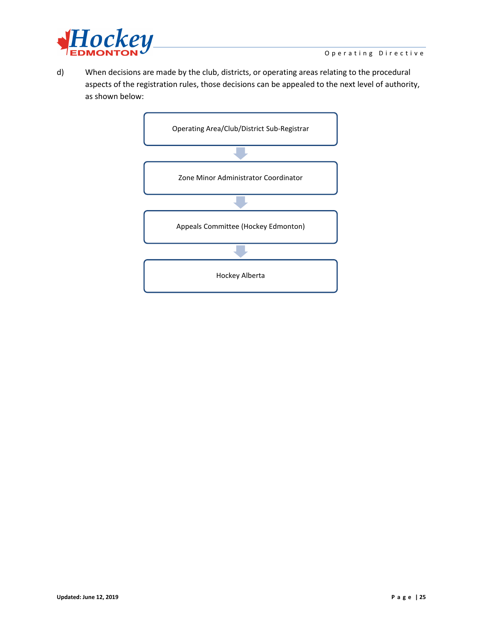

d) When decisions are made by the club, districts, or operating areas relating to the procedural aspects of the registration rules, those decisions can be appealed to the next level of authority, as shown below:

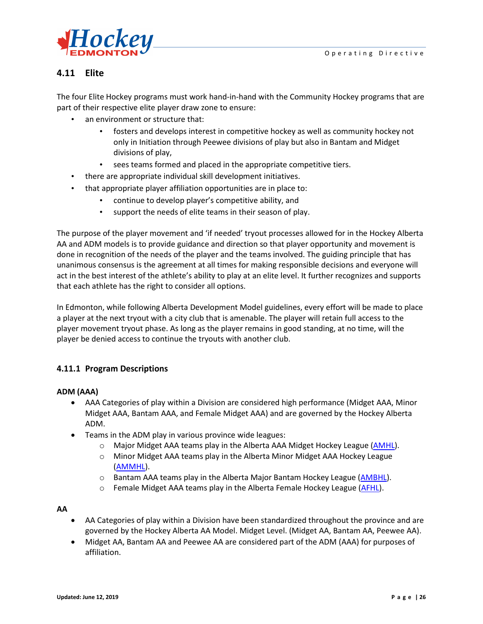

## <span id="page-26-0"></span>**4.11 Elite**

The four Elite Hockey programs must work hand-in-hand with the Community Hockey programs that are part of their respective elite player draw zone to ensure:

- an environment or structure that:
	- fosters and develops interest in competitive hockey as well as community hockey not only in Initiation through Peewee divisions of play but also in Bantam and Midget divisions of play,
	- sees teams formed and placed in the appropriate competitive tiers.
- there are appropriate individual skill development initiatives.
- that appropriate player affiliation opportunities are in place to:
	- continue to develop player's competitive ability, and
	- support the needs of elite teams in their season of play.

The purpose of the player movement and 'if needed' tryout processes allowed for in the Hockey Alberta AA and ADM models is to provide guidance and direction so that player opportunity and movement is done in recognition of the needs of the player and the teams involved. The guiding principle that has unanimous consensus is the agreement at all times for making responsible decisions and everyone will act in the best interest of the athlete's ability to play at an elite level. It further recognizes and supports that each athlete has the right to consider all options.

In Edmonton, while following Alberta Development Model guidelines, every effort will be made to place a player at the next tryout with a city club that is amenable. The player will retain full access to the player movement tryout phase. As long as the player remains in good standing, at no time, will the player be denied access to continue the tryouts with another club.

## <span id="page-26-1"></span>**4.11.1 Program Descriptions**

#### **ADM (AAA)**

- AAA Categories of play within a Division are considered high performance (Midget AAA, Minor Midget AAA, Bantam AAA, and Female Midget AAA) and are governed by the Hockey Alberta ADM.
- Teams in the ADM play in various province wide leagues:
	- o Major Midget AAA teams play in the Alberta AAA Midget Hockey League [\(AMHL\)](http://www.amhl.ab.ca/).
	- o Minor Midget AAA teams play in the Alberta Minor Midget AAA Hockey League [\(AMMHL\)](http://www.ammhl.ca/).
	- o Bantam AAA teams play in the Alberta Major Bantam Hockey League [\(AMBHL\)](http://www.ambhl.ab.ca/).
	- o Female Midget AAA teams play in the Alberta Female Hockey League [\(AFHL\)](http://www.afhl.ca/home/).

#### **AA**

- AA Categories of play within a Division have been standardized throughout the province and are governed by the Hockey Alberta AA Model. Midget Level. (Midget AA, Bantam AA, Peewee AA).
- Midget AA, Bantam AA and Peewee AA are considered part of the ADM (AAA) for purposes of affiliation.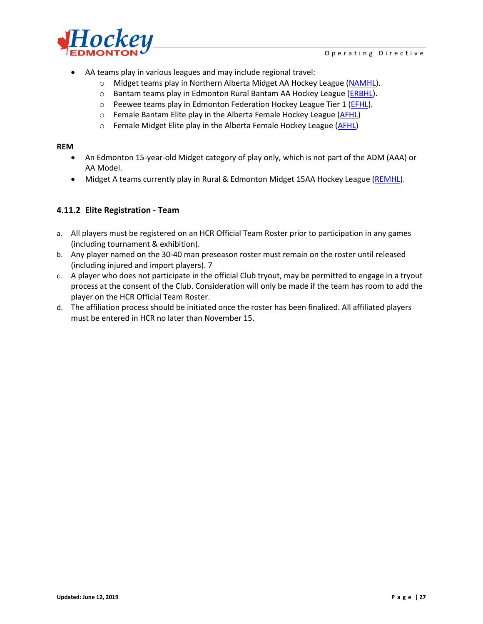

- AA teams play in various leagues and may include regional travel:
	- o Midget teams play in Northern Alberta Midget AA Hockey League [\(NAMHL\)](http://www.namhl.ca/).
	- o Bantam teams play in Edmonton Rural Bantam AA Hockey League [\(ERBHL\)](http://www.erbhl.ca/).
	- o Peewee teams play in Edmonton Federation Hockey League Tier 1 [\(EFHL\)](http://www.hockeyedmonton.ca/division.aspx?lgid=0&did=5675).
	- o Female Bantam Elite play in the Alberta Female Hockey League [\(AFHL\)](http://www.afhl.ca/home/)
	- o Female Midget Elite play in the Alberta Female Hockey League [\(AFHL\)](http://www.afhl.ca/home/)

#### **REM**

- An Edmonton 15-year-old Midget category of play only, which is not part of the ADM (AAA) or AA Model.
- Midget A teams currently play in Rural & Edmonton Midget 15AA Hockey League [\(REMHL\)](http://remhl.ca/).

## <span id="page-27-0"></span>**4.11.2 Elite Registration - Team**

- a. All players must be registered on an HCR Official Team Roster prior to participation in any games (including tournament & exhibition).
- b. Any player named on the 30-40 man preseason roster must remain on the roster until released (including injured and import players). 7
- c. A player who does not participate in the official Club tryout, may be permitted to engage in a tryout process at the consent of the Club. Consideration will only be made if the team has room to add the player on the HCR Official Team Roster.
- d. The affiliation process should be initiated once the roster has been finalized. All affiliated players must be entered in HCR no later than November 15.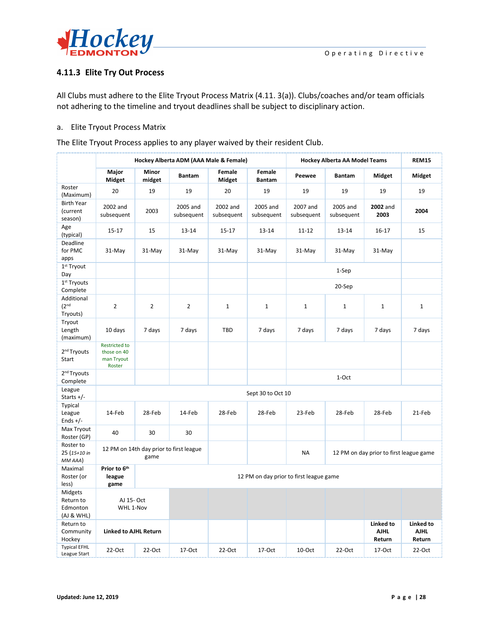

## <span id="page-28-0"></span>**4.11.3 Elite Try Out Process**

All Clubs must adhere to the Elite Tryout Process Matrix (4.11. 3(a)). Clubs/coaches and/or team officials not adhering to the timeline and tryout deadlines shall be subject to disciplinary action.

#### a. Elite Tryout Process Matrix

|                                                  | Hockey Alberta ADM (AAA Male & Female)                                                                  |                 |                        | Hockey Alberta AA Model Teams |                         |                        | <b>REM15</b>           |                                    |                                    |
|--------------------------------------------------|---------------------------------------------------------------------------------------------------------|-----------------|------------------------|-------------------------------|-------------------------|------------------------|------------------------|------------------------------------|------------------------------------|
|                                                  | Major<br>Midget                                                                                         | Minor<br>midget | <b>Bantam</b>          | Female<br>Midget              | Female<br><b>Bantam</b> | Peewee                 | <b>Bantam</b>          | Midget                             | Midget                             |
| Roster<br>(Maximum)                              | 20                                                                                                      | 19              | 19                     | 20                            | 19                      | 19                     | 19                     | 19                                 | 19                                 |
| <b>Birth Year</b><br>(current<br>season)         | 2002 and<br>subsequent                                                                                  | 2003            | 2005 and<br>subsequent | 2002 and<br>subsequent        | 2005 and<br>subsequent  | 2007 and<br>subsequent | 2005 and<br>subsequent | 2002 and<br>2003                   | 2004                               |
| Age<br>(typical)                                 | $15 - 17$                                                                                               | 15              | 13-14                  | $15 - 17$                     | 13-14                   | $11 - 12$              | 13-14                  | $16 - 17$                          | 15                                 |
| Deadline<br>for PMC<br>apps                      | 31-May                                                                                                  | 31-May          | 31-May                 | 31-May                        | 31-May                  | 31-May                 | 31-May                 | 31-May                             |                                    |
| 1 <sup>st</sup> Tryout<br>Day                    |                                                                                                         |                 |                        |                               |                         |                        | 1-Sep                  |                                    |                                    |
| 1 <sup>st</sup> Tryouts<br>Complete              |                                                                                                         |                 |                        |                               |                         |                        | 20-Sep                 |                                    |                                    |
| Additional<br>(2 <sup>nd</sup> )<br>Tryouts)     | $\overline{2}$                                                                                          | $\overline{2}$  | $\overline{2}$         | $\mathbf{1}$                  | $\mathbf{1}$            | $\mathbf{1}$           | $\mathbf{1}$           | $\mathbf{1}$                       | $\mathbf 1$                        |
| Tryout<br>Length<br>(maximum)                    | 10 days                                                                                                 | 7 days          | 7 days                 | <b>TBD</b>                    | 7 days                  | 7 days                 | 7 days                 | 7 days                             | 7 days                             |
| 2 <sup>nd</sup> Tryouts<br>Start                 | <b>Restricted to</b><br>those on 40<br>man Tryout<br>Roster                                             |                 |                        |                               |                         |                        |                        |                                    |                                    |
| 2 <sup>nd</sup> Tryouts<br>Complete              |                                                                                                         |                 |                        |                               |                         |                        | 1-Oct                  |                                    |                                    |
| League<br>Starts $+/-$                           |                                                                                                         |                 |                        |                               | Sept 30 to Oct 10       |                        |                        |                                    |                                    |
| Typical<br>League<br>Ends $+/-$                  | 14-Feb                                                                                                  | 28-Feb          | 14-Feb                 | 28-Feb                        | 28-Feb                  | 23-Feb                 | 28-Feb                 | 28-Feb                             | 21-Feb                             |
| Max Tryout<br>Roster (GP)                        | 40                                                                                                      | 30              | 30                     |                               |                         |                        |                        |                                    |                                    |
| Roster to<br>25 (15+10 in<br>MM AAA)             | 12 PM on 14th day prior to first league<br><b>NA</b><br>12 PM on day prior to first league game<br>game |                 |                        |                               |                         |                        |                        |                                    |                                    |
| Maximal<br>Roster (or<br>less)                   | Prior to 6th<br>league<br>12 PM on day prior to first league game<br>game                               |                 |                        |                               |                         |                        |                        |                                    |                                    |
| Midgets<br>Return to<br>Edmonton<br>$(A)$ & WHL) | AJ 15- Oct<br>WHL 1-Nov                                                                                 |                 |                        |                               |                         |                        |                        |                                    |                                    |
| Return to<br>Community<br>Hockey                 | <b>Linked to AJHL Return</b>                                                                            |                 |                        |                               |                         |                        |                        | Linked to<br><b>AJHL</b><br>Return | Linked to<br><b>AJHL</b><br>Return |
| <b>Typical EFHL</b><br>League Start              | 22-Oct                                                                                                  | $22-Oct$        | 17-Oct                 | 22-Oct                        | 17-Oct                  | 10-Oct                 | 22-Oct                 | 17-Oct                             | $22-Oct$                           |

The Elite Tryout Process applies to any player waived by their resident Club.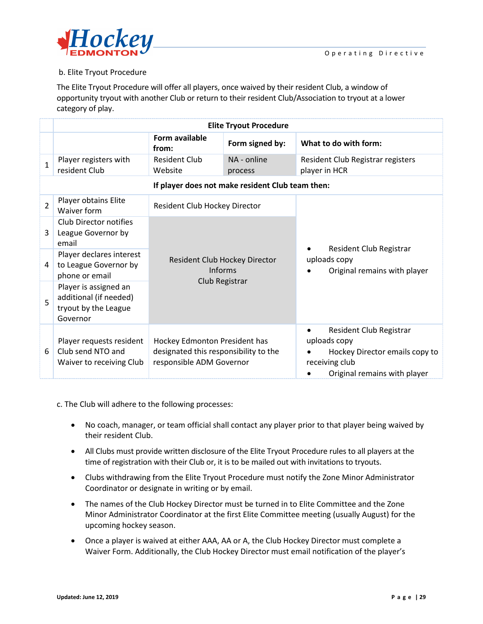

## b. Elite Tryout Procedure

The Elite Tryout Procedure will offer all players, once waived by their resident Club, a window of opportunity tryout with another Club or return to their resident Club/Association to tryout at a lower category of play.

|                | <b>Elite Tryout Procedure</b>                                                       |                                                                                                    |                                                  |                                                                                                                                          |  |  |
|----------------|-------------------------------------------------------------------------------------|----------------------------------------------------------------------------------------------------|--------------------------------------------------|------------------------------------------------------------------------------------------------------------------------------------------|--|--|
|                |                                                                                     | Form available<br>from:                                                                            | Form signed by:                                  | What to do with form:                                                                                                                    |  |  |
| $\mathbf{1}$   | Player registers with<br>resident Club                                              | <b>Resident Club</b><br>Website                                                                    | NA - online<br>process                           | Resident Club Registrar registers<br>player in HCR                                                                                       |  |  |
|                |                                                                                     |                                                                                                    | If player does not make resident Club team then: |                                                                                                                                          |  |  |
| $\overline{2}$ | Player obtains Elite<br>Waiver form                                                 | Resident Club Hockey Director                                                                      |                                                  |                                                                                                                                          |  |  |
| 3              | <b>Club Director notifies</b><br>League Governor by<br>email                        |                                                                                                    |                                                  |                                                                                                                                          |  |  |
| 4              | Player declares interest<br>to League Governor by<br>phone or email                 | Resident Club Hockey Director<br>Informs<br>Club Registrar                                         |                                                  | Resident Club Registrar<br>uploads copy<br>Original remains with player                                                                  |  |  |
| 5              | Player is assigned an<br>additional (if needed)<br>tryout by the League<br>Governor |                                                                                                    |                                                  |                                                                                                                                          |  |  |
| 6              | Player requests resident<br>Club send NTO and<br>Waiver to receiving Club           | Hockey Edmonton President has<br>designated this responsibility to the<br>responsible ADM Governor |                                                  | Resident Club Registrar<br>$\bullet$<br>uploads copy<br>Hockey Director emails copy to<br>receiving club<br>Original remains with player |  |  |

c. The Club will adhere to the following processes:

- No coach, manager, or team official shall contact any player prior to that player being waived by their resident Club.
- All Clubs must provide written disclosure of the Elite Tryout Procedure rules to all players at the time of registration with their Club or, it is to be mailed out with invitations to tryouts.
- Clubs withdrawing from the Elite Tryout Procedure must notify the Zone Minor Administrator Coordinator or designate in writing or by email.
- The names of the Club Hockey Director must be turned in to Elite Committee and the Zone Minor Administrator Coordinator at the first Elite Committee meeting (usually August) for the upcoming hockey season.
- Once a player is waived at either AAA, AA or A, the Club Hockey Director must complete a Waiver Form. Additionally, the Club Hockey Director must email notification of the player's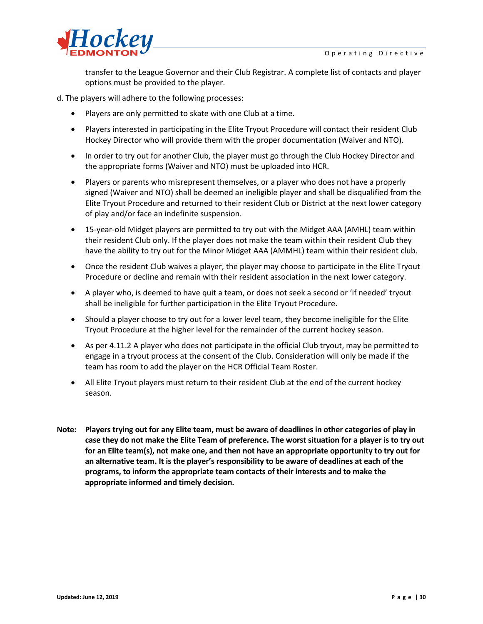

transfer to the League Governor and their Club Registrar. A complete list of contacts and player options must be provided to the player.

d. The players will adhere to the following processes:

- Players are only permitted to skate with one Club at a time.
- Players interested in participating in the Elite Tryout Procedure will contact their resident Club Hockey Director who will provide them with the proper documentation (Waiver and NTO).
- In order to try out for another Club, the player must go through the Club Hockey Director and the appropriate forms (Waiver and NTO) must be uploaded into HCR.
- Players or parents who misrepresent themselves, or a player who does not have a properly signed (Waiver and NTO) shall be deemed an ineligible player and shall be disqualified from the Elite Tryout Procedure and returned to their resident Club or District at the next lower category of play and/or face an indefinite suspension.
- 15-year-old Midget players are permitted to try out with the Midget AAA (AMHL) team within their resident Club only. If the player does not make the team within their resident Club they have the ability to try out for the Minor Midget AAA (AMMHL) team within their resident club.
- Once the resident Club waives a player, the player may choose to participate in the Elite Tryout Procedure or decline and remain with their resident association in the next lower category.
- A player who, is deemed to have quit a team, or does not seek a second or 'if needed' tryout shall be ineligible for further participation in the Elite Tryout Procedure.
- Should a player choose to try out for a lower level team, they become ineligible for the Elite Tryout Procedure at the higher level for the remainder of the current hockey season.
- As per 4.11.2 A player who does not participate in the official Club tryout, may be permitted to engage in a tryout process at the consent of the Club. Consideration will only be made if the team has room to add the player on the HCR Official Team Roster.
- All Elite Tryout players must return to their resident Club at the end of the current hockey season.
- **Note: Players trying out for any Elite team, must be aware of deadlines in other categories of play in case they do not make the Elite Team of preference. The worst situation for a player is to try out for an Elite team(s), not make one, and then not have an appropriate opportunity to try out for an alternative team. It is the player's responsibility to be aware of deadlines at each of the programs, to inform the appropriate team contacts of their interests and to make the appropriate informed and timely decision.**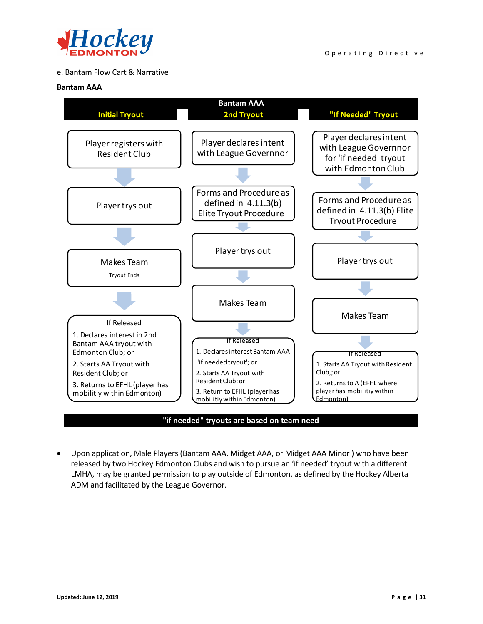

## e. Bantam Flow Cart & Narrative

#### **Bantam AAA**



**"if needed" tryouts are based on team need**

• Upon application, Male Players (Bantam AAA, Midget AAA, or Midget AAA Minor ) who have been released by two Hockey Edmonton Clubs and wish to pursue an 'if needed' tryout with a different LMHA, may be granted permission to play outside of Edmonton, as defined by the Hockey Alberta ADM and facilitated by the League Governor.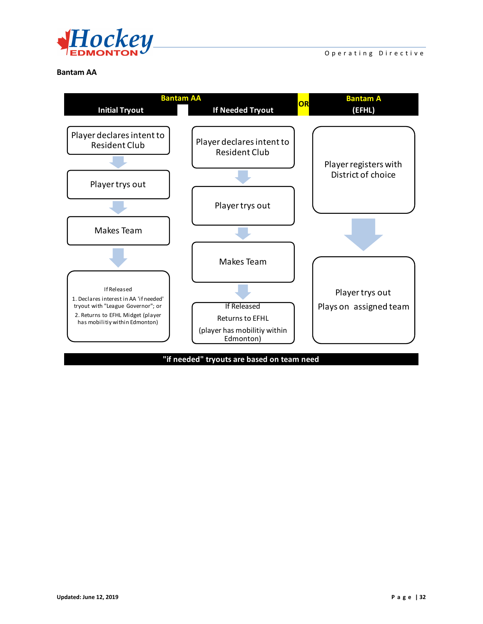

#### **Bantam AA**



**"if needed" tryouts are based on team need**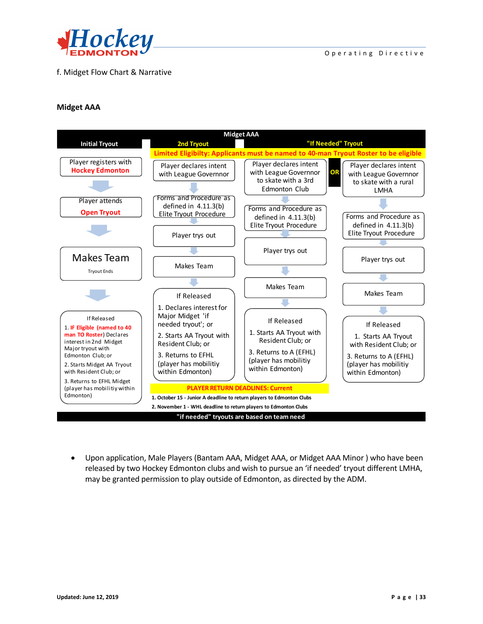

## f. Midget Flow Chart & Narrative

#### **Midget AAA**



• Upon application, Male Players (Bantam AAA, Midget AAA, or Midget AAA Minor ) who have been released by two Hockey Edmonton clubs and wish to pursue an 'if needed' tryout different LMHA, may be granted permission to play outside of Edmonton, as directed by the ADM.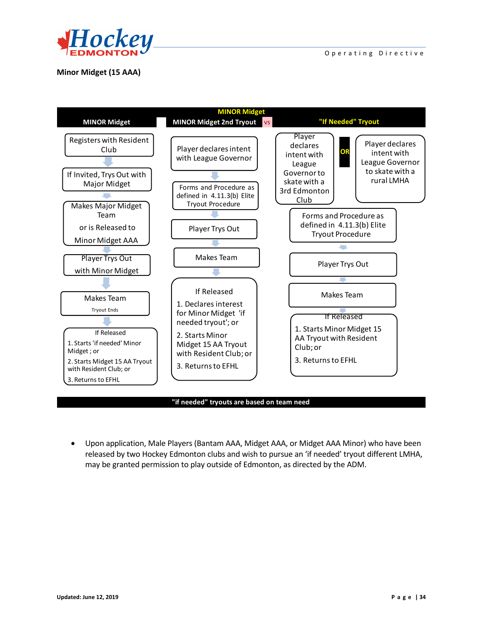

## **Minor Midget (15 AAA)**



#### **"if needed" tryouts are based on team need**

• Upon application, Male Players (Bantam AAA, Midget AAA, or Midget AAA Minor) who have been released by two Hockey Edmonton clubs and wish to pursue an 'if needed' tryout different LMHA, may be granted permission to play outside of Edmonton, as directed by the ADM.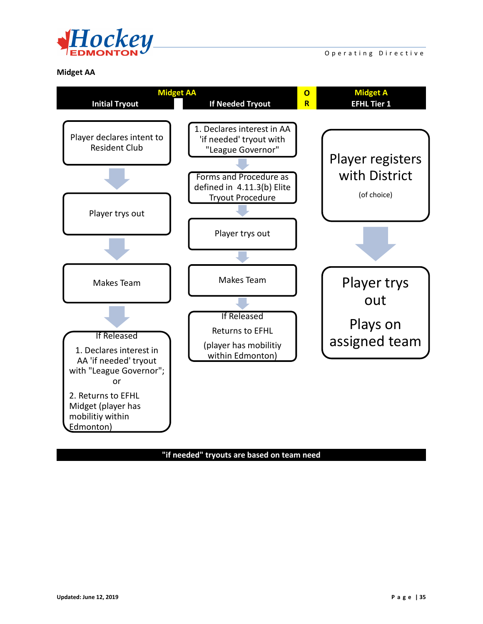

Operating Directive

#### **Midget AA**



## **"if needed" tryouts are based on team need**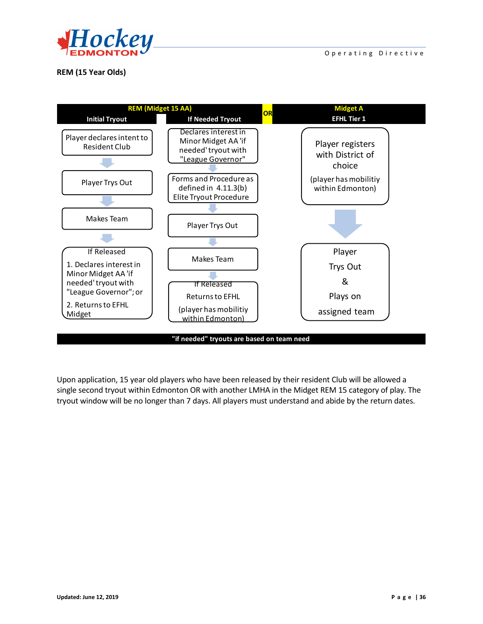

**REM (15 Year Olds)**



Upon application, 15 year old players who have been released by their resident Club will be allowed a single second tryout within Edmonton OR with another LMHA in the Midget REM 15 category of play. The tryout window will be no longer than 7 days. All players must understand and abide by the return dates.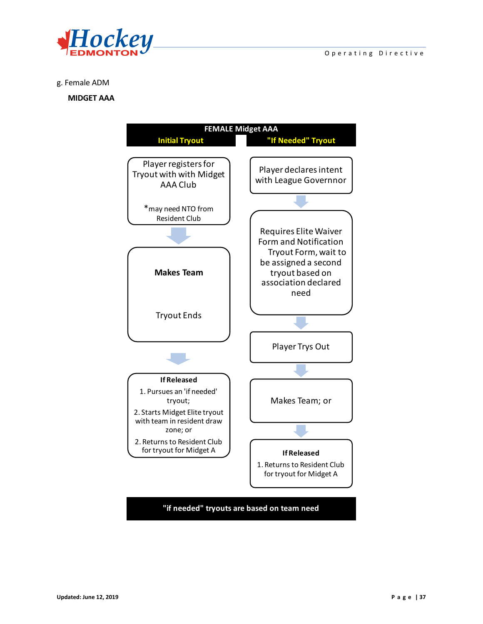



#### g. Female ADM

#### **MIDGET AAA**

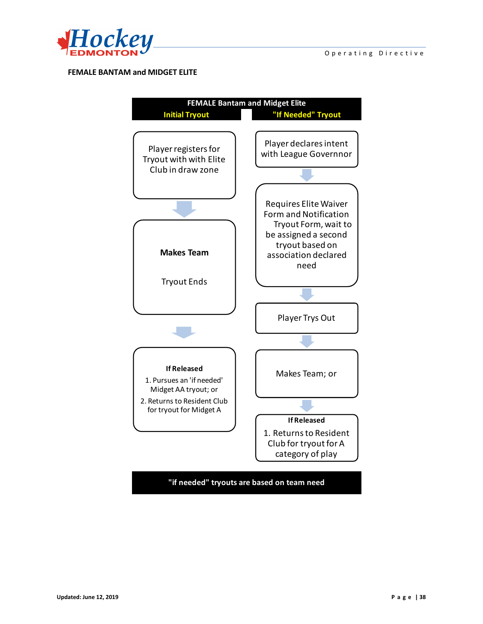

#### **FEMALE BANTAM and MIDGET ELITE**



**"if needed" tryouts are based on team need**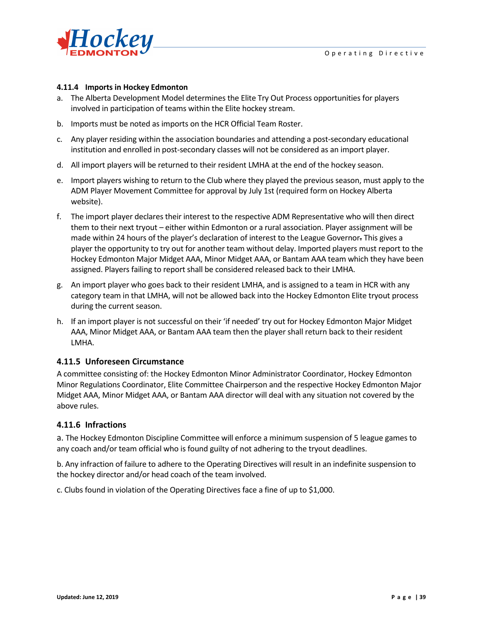

#### **4.11.4 Imports in Hockey Edmonton**

- a. The Alberta Development Model determines the Elite Try Out Process opportunities for players involved in participation of teams within the Elite hockey stream.
- b. Imports must be noted as imports on the HCR Official Team Roster.
- c. Any player residing within the association boundaries and attending a post-secondary educational institution and enrolled in post-secondary classes will not be considered as an import player.
- d. All import players will be returned to their resident LMHA at the end of the hockey season.
- e. Import players wishing to return to the Club where they played the previous season, must apply to the ADM Player Movement Committee for approval by July 1st (required form on Hockey Alberta website).
- f. The import player declares their interest to the respective ADM Representative who will then direct them to their next tryout – either within Edmonton or a rural association. Player assignment will be made within 24 hours of the player's declaration of interest to the League Governor. This gives a player the opportunity to try out for another team without delay. Imported players must report to the Hockey Edmonton Major Midget AAA, Minor Midget AAA, or Bantam AAA team which they have been assigned. Players failing to report shall be considered released back to their LMHA.
- g. An import player who goes back to their resident LMHA, and is assigned to a team in HCR with any category team in that LMHA, will not be allowed back into the Hockey Edmonton Elite tryout process during the current season.
- h. If an import player is not successful on their 'if needed' try out for Hockey Edmonton Major Midget AAA, Minor Midget AAA, or Bantam AAA team then the player shall return back to their resident LMHA.

#### **4.11.5 Unforeseen Circumstance**

A committee consisting of: the Hockey Edmonton Minor Administrator Coordinator, Hockey Edmonton Minor Regulations Coordinator, Elite Committee Chairperson and the respective Hockey Edmonton Major Midget AAA, Minor Midget AAA, or Bantam AAA director will deal with any situation not covered by the above rules.

#### **4.11.6 Infractions**

a. The Hockey Edmonton Discipline Committee will enforce a minimum suspension of 5 league games to any coach and/or team official who is found guilty of not adhering to the tryout deadlines.

b. Any infraction of failure to adhere to the Operating Directives will result in an indefinite suspension to the hockey director and/or head coach of the team involved.

c. Clubs found in violation of the Operating Directives face a fine of up to \$1,000.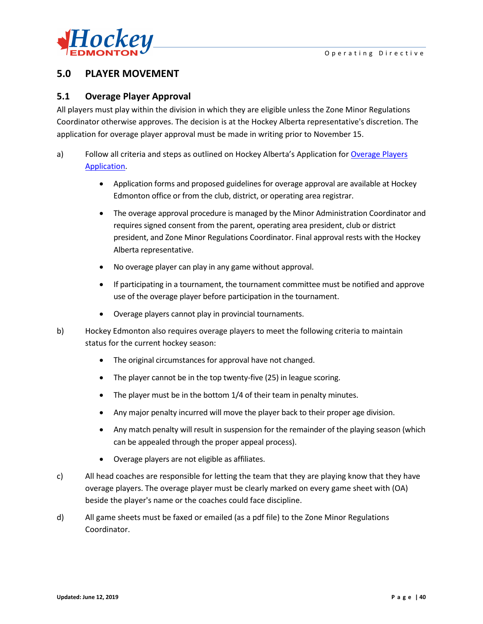

# **5.0 PLAYER MOVEMENT**

## **5.1 Overage Player Approval**

All players must play within the division in which they are eligible unless the Zone Minor Regulations Coordinator otherwise approves. The decision is at the Hockey Alberta representative's discretion. The application for overage player approval must be made in writing prior to November 15.

- a) Follow all criteria and steps as outlined on Hockey Alberta's Application for Overage Players [Application.](http://fscs.rampinteractive.com/hockeyedmonton/files/association/Overage%20Criteria%20and%20Form.pdf)
	- Application forms and proposed guidelines for overage approval are available at Hockey Edmonton office or from the club, district, or operating area registrar.
	- The overage approval procedure is managed by the Minor Administration Coordinator and requires signed consent from the parent, operating area president, club or district president, and Zone Minor Regulations Coordinator. Final approval rests with the Hockey Alberta representative.
	- No overage player can play in any game without approval.
	- If participating in a tournament, the tournament committee must be notified and approve use of the overage player before participation in the tournament.
	- Overage players cannot play in provincial tournaments.
- b) Hockey Edmonton also requires overage players to meet the following criteria to maintain status for the current hockey season:
	- The original circumstances for approval have not changed.
	- The player cannot be in the top twenty-five (25) in league scoring.
	- The player must be in the bottom 1/4 of their team in penalty minutes.
	- Any major penalty incurred will move the player back to their proper age division.
	- Any match penalty will result in suspension for the remainder of the playing season (which can be appealed through the proper appeal process).
	- Overage players are not eligible as affiliates.
- c) All head coaches are responsible for letting the team that they are playing know that they have overage players. The overage player must be clearly marked on every game sheet with (OA) beside the player's name or the coaches could face discipline.
- d) All game sheets must be faxed or emailed (as a pdf file) to the Zone Minor Regulations Coordinator.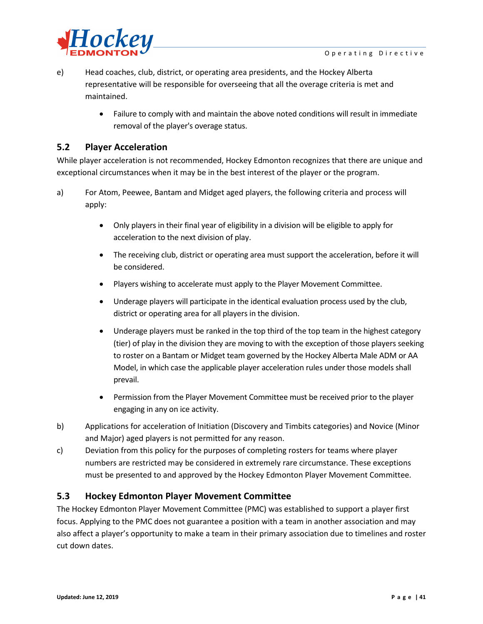

- e) Head coaches, club, district, or operating area presidents, and the Hockey Alberta representative will be responsible for overseeing that all the overage criteria is met and maintained.
	- Failure to comply with and maintain the above noted conditions will result in immediate removal of the player's overage status.

## **5.2 Player Acceleration**

While player acceleration is not recommended, Hockey Edmonton recognizes that there are unique and exceptional circumstances when it may be in the best interest of the player or the program.

- a) For Atom, Peewee, Bantam and Midget aged players, the following criteria and process will apply:
	- Only players in their final year of eligibility in a division will be eligible to apply for acceleration to the next division of play.
	- The receiving club, district or operating area must support the acceleration, before it will be considered.
	- Players wishing to accelerate must apply to the Player Movement Committee.
	- Underage players will participate in the identical evaluation process used by the club, district or operating area for all players in the division.
	- Underage players must be ranked in the top third of the top team in the highest category (tier) of play in the division they are moving to with the exception of those players seeking to roster on a Bantam or Midget team governed by the Hockey Alberta Male ADM or AA Model, in which case the applicable player acceleration rules under those models shall prevail.
	- Permission from the Player Movement Committee must be received prior to the player engaging in any on ice activity.
- b) Applications for acceleration of Initiation (Discovery and Timbits categories) and Novice (Minor and Major) aged players is not permitted for any reason.
- c) Deviation from this policy for the purposes of completing rosters for teams where player numbers are restricted may be considered in extremely rare circumstance. These exceptions must be presented to and approved by the Hockey Edmonton Player Movement Committee.

## **5.3 Hockey Edmonton Player Movement Committee**

The Hockey Edmonton Player Movement Committee (PMC) was established to support a player first focus. Applying to the PMC does not guarantee a position with a team in another association and may also affect a player's opportunity to make a team in their primary association due to timelines and roster cut down dates.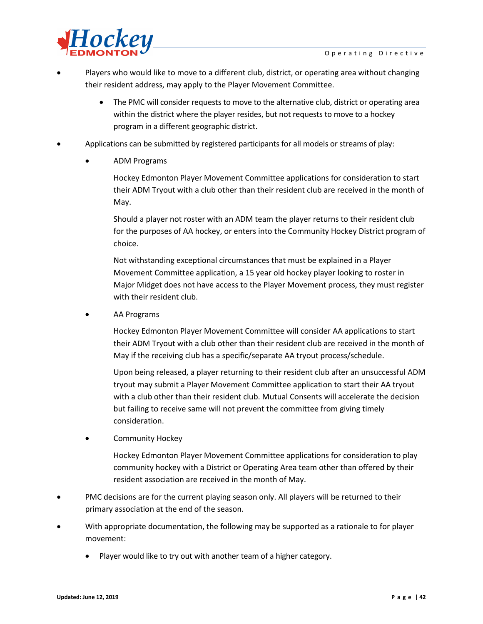

- Players who would like to move to a different club, district, or operating area without changing their resident address, may apply to the Player Movement Committee.
	- The PMC will consider requests to move to the alternative club, district or operating area within the district where the player resides, but not requests to move to a hockey program in a different geographic district.
- Applications can be submitted by registered participants for all models or streams of play:
	- ADM Programs

Hockey Edmonton Player Movement Committee applications for consideration to start their ADM Tryout with a club other than their resident club are received in the month of May.

Should a player not roster with an ADM team the player returns to their resident club for the purposes of AA hockey, or enters into the Community Hockey District program of choice.

Not withstanding exceptional circumstances that must be explained in a Player Movement Committee application, a 15 year old hockey player looking to roster in Major Midget does not have access to the Player Movement process, they must register with their resident club.

• AA Programs

Hockey Edmonton Player Movement Committee will consider AA applications to start their ADM Tryout with a club other than their resident club are received in the month of May if the receiving club has a specific/separate AA tryout process/schedule.

Upon being released, a player returning to their resident club after an unsuccessful ADM tryout may submit a Player Movement Committee application to start their AA tryout with a club other than their resident club. Mutual Consents will accelerate the decision but failing to receive same will not prevent the committee from giving timely consideration.

• Community Hockey

Hockey Edmonton Player Movement Committee applications for consideration to play community hockey with a District or Operating Area team other than offered by their resident association are received in the month of May.

- PMC decisions are for the current playing season only. All players will be returned to their primary association at the end of the season.
- With appropriate documentation, the following may be supported as a rationale to for player movement:
	- Player would like to try out with another team of a higher category.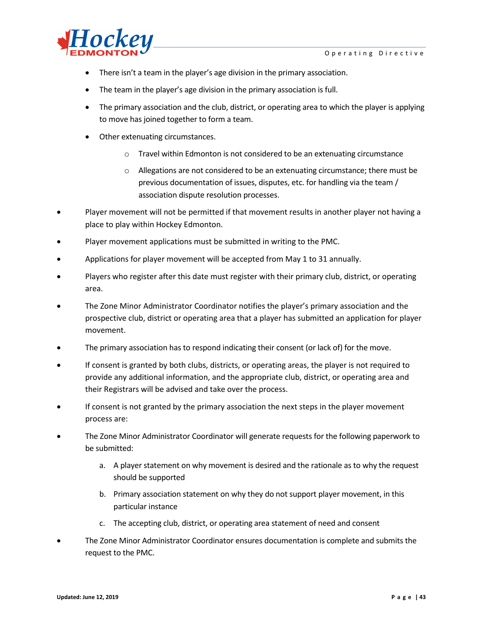

- There isn't a team in the player's age division in the primary association.
- The team in the player's age division in the primary association is full.
- The primary association and the club, district, or operating area to which the player is applying to move has joined together to form a team.
- Other extenuating circumstances.
	- o Travel within Edmonton is not considered to be an extenuating circumstance
	- $\circ$  Allegations are not considered to be an extenuating circumstance; there must be previous documentation of issues, disputes, etc. for handling via the team / association dispute resolution processes.
- Player movement will not be permitted if that movement results in another player not having a place to play within Hockey Edmonton.
- Player movement applications must be submitted in writing to the PMC.
- Applications for player movement will be accepted from May 1 to 31 annually.
- Players who register after this date must register with their primary club, district, or operating area.
- The Zone Minor Administrator Coordinator notifies the player's primary association and the prospective club, district or operating area that a player has submitted an application for player movement.
- The primary association has to respond indicating their consent (or lack of) for the move.
- If consent is granted by both clubs, districts, or operating areas, the player is not required to provide any additional information, and the appropriate club, district, or operating area and their Registrars will be advised and take over the process.
- If consent is not granted by the primary association the next steps in the player movement process are:
- The Zone Minor Administrator Coordinator will generate requests for the following paperwork to be submitted:
	- a. A player statement on why movement is desired and the rationale as to why the request should be supported
	- b. Primary association statement on why they do not support player movement, in this particular instance
	- c. The accepting club, district, or operating area statement of need and consent
- The Zone Minor Administrator Coordinator ensures documentation is complete and submits the request to the PMC.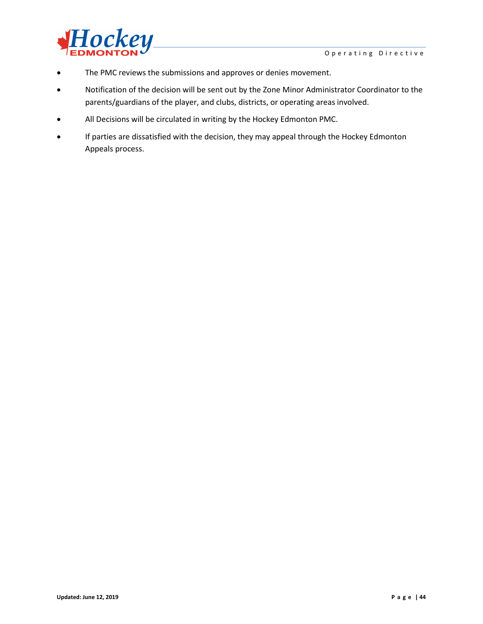

- The PMC reviews the submissions and approves or denies movement.
- Notification of the decision will be sent out by the Zone Minor Administrator Coordinator to the parents/guardians of the player, and clubs, districts, or operating areas involved.
- All Decisions will be circulated in writing by the Hockey Edmonton PMC.
- If parties are dissatisfied with the decision, they may appeal through the Hockey Edmonton Appeals process.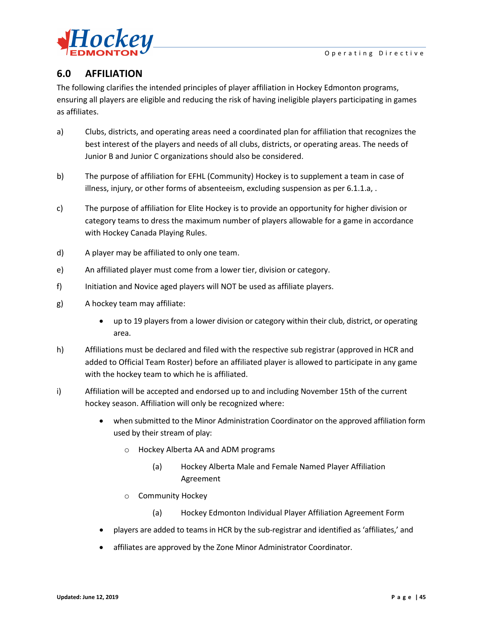

# **6.0 AFFILIATION**

The following clarifies the intended principles of player affiliation in Hockey Edmonton programs, ensuring all players are eligible and reducing the risk of having ineligible players participating in games as affiliates.

- a) Clubs, districts, and operating areas need a coordinated plan for affiliation that recognizes the best interest of the players and needs of all clubs, districts, or operating areas. The needs of Junior B and Junior C organizations should also be considered.
- b) The purpose of affiliation for EFHL (Community) Hockey is to supplement a team in case of illness, injury, or other forms of absenteeism, excluding suspension as per 6.1.1.a, .
- c) The purpose of affiliation for Elite Hockey is to provide an opportunity for higher division or category teams to dress the maximum number of players allowable for a game in accordance with Hockey Canada Playing Rules.
- d) A player may be affiliated to only one team.
- e) An affiliated player must come from a lower tier, division or category.
- f) Initiation and Novice aged players will NOT be used as affiliate players.
- g) A hockey team may affiliate:
	- up to 19 players from a lower division or category within their club, district, or operating area.
- h) Affiliations must be declared and filed with the respective sub registrar (approved in HCR and added to Official Team Roster) before an affiliated player is allowed to participate in any game with the hockey team to which he is affiliated.
- i) Affiliation will be accepted and endorsed up to and including November 15th of the current hockey season. Affiliation will only be recognized where:
	- when submitted to the Minor Administration Coordinator on the approved affiliation form used by their stream of play:
		- o Hockey Alberta AA and ADM programs
			- (a) Hockey Alberta Male and Female Named Player Affiliation Agreement
		- o Community Hockey
			- (a) Hockey Edmonton Individual Player Affiliation Agreement Form
	- players are added to teams in HCR by the sub-registrar and identified as 'affiliates,' and
	- affiliates are approved by the Zone Minor Administrator Coordinator.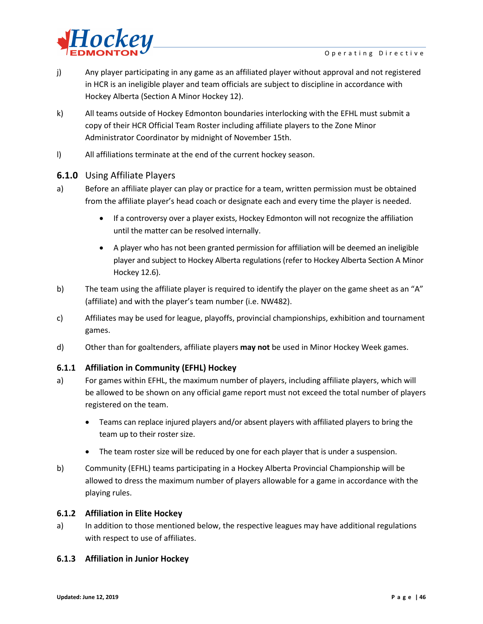

- j) Any player participating in any game as an affiliated player without approval and not registered in HCR is an ineligible player and team officials are subject to discipline in accordance with Hockey Alberta (Section A Minor Hockey 12).
- k) All teams outside of Hockey Edmonton boundaries interlocking with the EFHL must submit a copy of their HCR Official Team Roster including affiliate players to the Zone Minor Administrator Coordinator by midnight of November 15th.
- l) All affiliations terminate at the end of the current hockey season.

### **6.1.0** Using Affiliate Players

- a) Before an affiliate player can play or practice for a team, written permission must be obtained from the affiliate player's head coach or designate each and every time the player is needed.
	- If a controversy over a player exists, Hockey Edmonton will not recognize the affiliation until the matter can be resolved internally.
	- A player who has not been granted permission for affiliation will be deemed an ineligible player and subject to Hockey Alberta regulations (refer to Hockey Alberta Section A Minor Hockey 12.6).
- b) The team using the affiliate player is required to identify the player on the game sheet as an "A" (affiliate) and with the player's team number (i.e. NW482).
- c) Affiliates may be used for league, playoffs, provincial championships, exhibition and tournament games.
- d) Other than for goaltenders, affiliate players **may not** be used in Minor Hockey Week games.

## **6.1.1 Affiliation in Community (EFHL) Hockey**

- a) For games within EFHL, the maximum number of players, including affiliate players, which will be allowed to be shown on any official game report must not exceed the total number of players registered on the team.
	- Teams can replace injured players and/or absent players with affiliated players to bring the team up to their roster size.
	- The team roster size will be reduced by one for each player that is under a suspension.
- b) Community (EFHL) teams participating in a Hockey Alberta Provincial Championship will be allowed to dress the maximum number of players allowable for a game in accordance with the playing rules.

#### **6.1.2 Affiliation in Elite Hockey**

a) In addition to those mentioned below, the respective leagues may have additional regulations with respect to use of affiliates.

#### **6.1.3 Affiliation in Junior Hockey**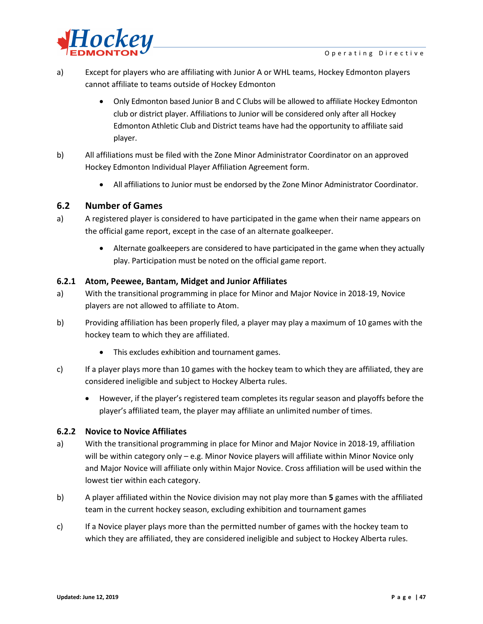

- a) Except for players who are affiliating with Junior A or WHL teams, Hockey Edmonton players cannot affiliate to teams outside of Hockey Edmonton
	- Only Edmonton based Junior B and C Clubs will be allowed to affiliate Hockey Edmonton club or district player. Affiliations to Junior will be considered only after all Hockey Edmonton Athletic Club and District teams have had the opportunity to affiliate said player.
- b) All affiliations must be filed with the Zone Minor Administrator Coordinator on an approved Hockey Edmonton Individual Player Affiliation Agreement form.
	- All affiliations to Junior must be endorsed by the Zone Minor Administrator Coordinator.

### **6.2 Number of Games**

- a) A registered player is considered to have participated in the game when their name appears on the official game report, except in the case of an alternate goalkeeper.
	- Alternate goalkeepers are considered to have participated in the game when they actually play. Participation must be noted on the official game report.

#### **6.2.1 Atom, Peewee, Bantam, Midget and Junior Affiliates**

- a) With the transitional programming in place for Minor and Major Novice in 2018-19, Novice players are not allowed to affiliate to Atom.
- b) Providing affiliation has been properly filed, a player may play a maximum of 10 games with the hockey team to which they are affiliated.
	- This excludes exhibition and tournament games.
- c) If a player plays more than 10 games with the hockey team to which they are affiliated, they are considered ineligible and subject to Hockey Alberta rules.
	- However, if the player's registered team completes its regular season and playoffs before the player's affiliated team, the player may affiliate an unlimited number of times.

#### **6.2.2 Novice to Novice Affiliates**

- a) With the transitional programming in place for Minor and Major Novice in 2018-19, affiliation will be within category only – e.g. Minor Novice players will affiliate within Minor Novice only and Major Novice will affiliate only within Major Novice. Cross affiliation will be used within the lowest tier within each category.
- b) A player affiliated within the Novice division may not play more than **5** games with the affiliated team in the current hockey season, excluding exhibition and tournament games
- c) If a Novice player plays more than the permitted number of games with the hockey team to which they are affiliated, they are considered ineligible and subject to Hockey Alberta rules.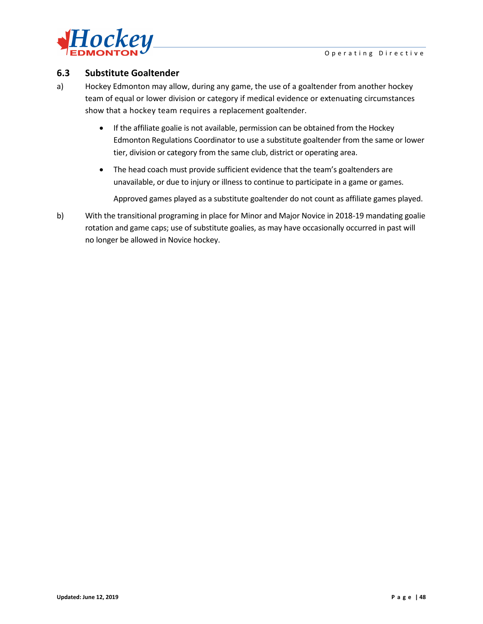



## **6.3 Substitute Goaltender**

- a) Hockey Edmonton may allow, during any game, the use of a goaltender from another hockey team of equal or lower division or category if medical evidence or extenuating circumstances show that a hockey team requires a replacement goaltender.
	- If the affiliate goalie is not available, permission can be obtained from the Hockey Edmonton Regulations Coordinator to use a substitute goaltender from the same or lower tier, division or category from the same club, district or operating area.
	- The head coach must provide sufficient evidence that the team's goaltenders are unavailable, or due to injury or illness to continue to participate in a game or games.

Approved games played as a substitute goaltender do not count as affiliate games played.

b) With the transitional programing in place for Minor and Major Novice in 2018-19 mandating goalie rotation and game caps; use of substitute goalies, as may have occasionally occurred in past will no longer be allowed in Novice hockey.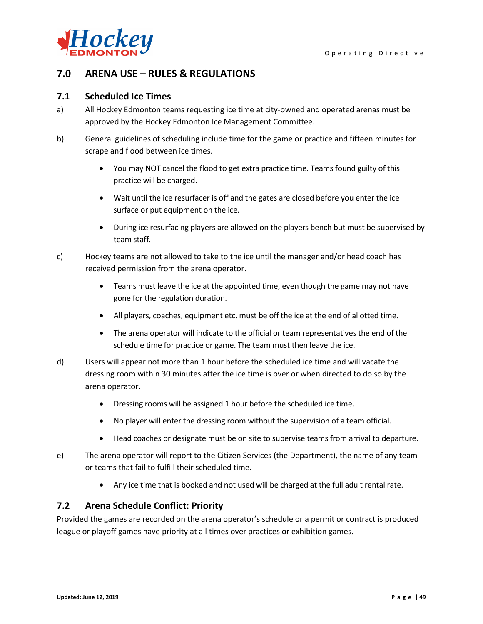

## **7.0 ARENA USE – RULES & REGULATIONS**

#### **7.1 Scheduled Ice Times**

- a) All Hockey Edmonton teams requesting ice time at city-owned and operated arenas must be approved by the Hockey Edmonton Ice Management Committee.
- b) General guidelines of scheduling include time for the game or practice and fifteen minutes for scrape and flood between ice times.
	- You may NOT cancel the flood to get extra practice time. Teams found guilty of this practice will be charged.
	- Wait until the ice resurfacer is off and the gates are closed before you enter the ice surface or put equipment on the ice.
	- During ice resurfacing players are allowed on the players bench but must be supervised by team staff.
- c) Hockey teams are not allowed to take to the ice until the manager and/or head coach has received permission from the arena operator.
	- Teams must leave the ice at the appointed time, even though the game may not have gone for the regulation duration.
	- All players, coaches, equipment etc. must be off the ice at the end of allotted time.
	- The arena operator will indicate to the official or team representatives the end of the schedule time for practice or game. The team must then leave the ice.
- d) Users will appear not more than 1 hour before the scheduled ice time and will vacate the dressing room within 30 minutes after the ice time is over or when directed to do so by the arena operator.
	- Dressing rooms will be assigned 1 hour before the scheduled ice time.
	- No player will enter the dressing room without the supervision of a team official.
	- Head coaches or designate must be on site to supervise teams from arrival to departure.
- e) The arena operator will report to the Citizen Services (the Department), the name of any team or teams that fail to fulfill their scheduled time.
	- Any ice time that is booked and not used will be charged at the full adult rental rate.

## **7.2 Arena Schedule Conflict: Priority**

Provided the games are recorded on the arena operator's schedule or a permit or contract is produced league or playoff games have priority at all times over practices or exhibition games.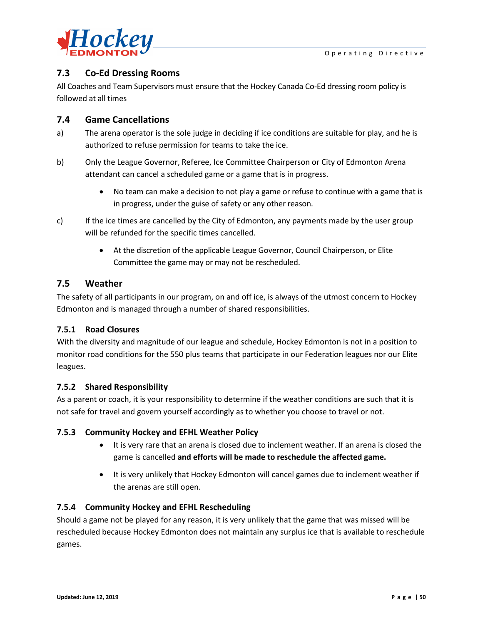

# **7.3 Co-Ed Dressing Rooms**

All Coaches and Team Supervisors must ensure that the Hockey Canada Co-Ed dressing room policy is followed at all times

## **7.4 Game Cancellations**

- a) The arena operator is the sole judge in deciding if ice conditions are suitable for play, and he is authorized to refuse permission for teams to take the ice.
- b) Only the League Governor, Referee, Ice Committee Chairperson or City of Edmonton Arena attendant can cancel a scheduled game or a game that is in progress.
	- No team can make a decision to not play a game or refuse to continue with a game that is in progress, under the guise of safety or any other reason.
- c) If the ice times are cancelled by the City of Edmonton, any payments made by the user group will be refunded for the specific times cancelled.
	- At the discretion of the applicable League Governor, Council Chairperson, or Elite Committee the game may or may not be rescheduled.

## **7.5 Weather**

The safety of all participants in our program, on and off ice, is always of the utmost concern to Hockey Edmonton and is managed through a number of shared responsibilities.

## **7.5.1 Road Closures**

With the diversity and magnitude of our league and schedule, Hockey Edmonton is not in a position to monitor road conditions for the 550 plus teams that participate in our Federation leagues nor our Elite leagues.

## **7.5.2 Shared Responsibility**

As a parent or coach, it is your responsibility to determine if the weather conditions are such that it is not safe for travel and govern yourself accordingly as to whether you choose to travel or not.

## **7.5.3 Community Hockey and EFHL Weather Policy**

- It is very rare that an arena is closed due to inclement weather. If an arena is closed the game is cancelled **and efforts will be made to reschedule the affected game.**
- It is very unlikely that Hockey Edmonton will cancel games due to inclement weather if the arenas are still open.

## **7.5.4 Community Hockey and EFHL Rescheduling**

Should a game not be played for any reason, it is very unlikely that the game that was missed will be rescheduled because Hockey Edmonton does not maintain any surplus ice that is available to reschedule games.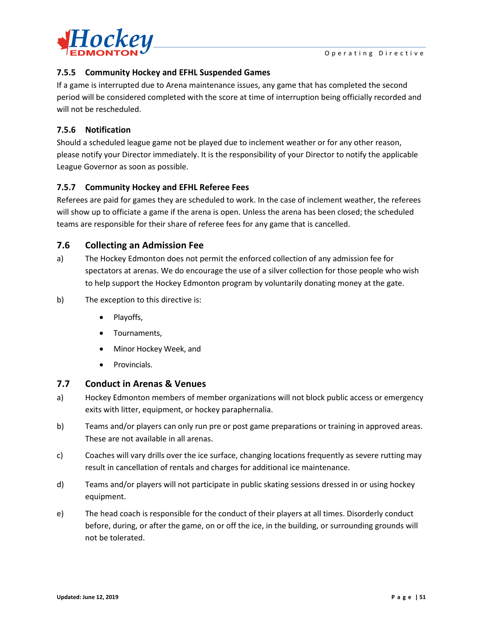

## **7.5.5 Community Hockey and EFHL Suspended Games**

If a game is interrupted due to Arena maintenance issues, any game that has completed the second period will be considered completed with the score at time of interruption being officially recorded and will not be rescheduled.

## **7.5.6 Notification**

Should a scheduled league game not be played due to inclement weather or for any other reason, please notify your Director immediately. It is the responsibility of your Director to notify the applicable League Governor as soon as possible.

## **7.5.7 Community Hockey and EFHL Referee Fees**

Referees are paid for games they are scheduled to work. In the case of inclement weather, the referees will show up to officiate a game if the arena is open. Unless the arena has been closed; the scheduled teams are responsible for their share of referee fees for any game that is cancelled.

## **7.6 Collecting an Admission Fee**

- a) The Hockey Edmonton does not permit the enforced collection of any admission fee for spectators at arenas. We do encourage the use of a silver collection for those people who wish to help support the Hockey Edmonton program by voluntarily donating money at the gate.
- b) The exception to this directive is:
	- Playoffs,
	- Tournaments,
	- Minor Hockey Week, and
	- Provincials.

## **7.7 Conduct in Arenas & Venues**

- a) Hockey Edmonton members of member organizations will not block public access or emergency exits with litter, equipment, or hockey paraphernalia.
- b) Teams and/or players can only run pre or post game preparations or training in approved areas. These are not available in all arenas.
- c) Coaches will vary drills over the ice surface, changing locations frequently as severe rutting may result in cancellation of rentals and charges for additional ice maintenance.
- d) Teams and/or players will not participate in public skating sessions dressed in or using hockey equipment.
- e) The head coach is responsible for the conduct of their players at all times. Disorderly conduct before, during, or after the game, on or off the ice, in the building, or surrounding grounds will not be tolerated.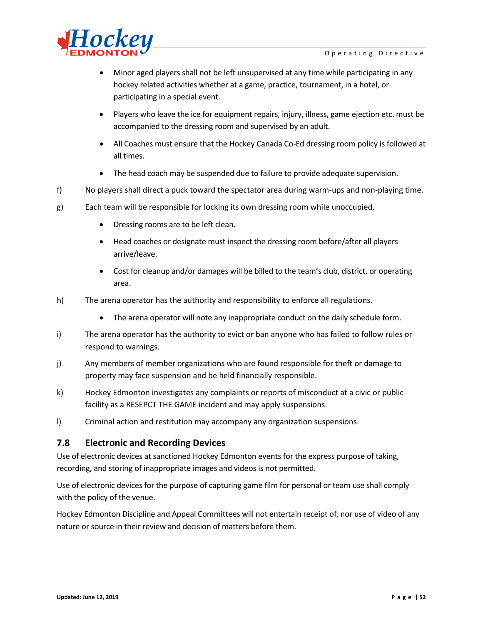

- Minor aged players shall not be left unsupervised at any time while participating in any hockey related activities whether at a game, practice, tournament, in a hotel, or participating in a special event.
- Players who leave the ice for equipment repairs, injury, illness, game ejection etc. must be accompanied to the dressing room and supervised by an adult.
- All Coaches must ensure that the Hockey Canada Co-Ed dressing room policy is followed at all times.
- The head coach may be suspended due to failure to provide adequate supervision.
- f) No players shall direct a puck toward the spectator area during warm-ups and non-playing time.
- g) Each team will be responsible for locking its own dressing room while unoccupied.
	- Dressing rooms are to be left clean.
	- Head coaches or designate must inspect the dressing room before/after all players arrive/leave.
	- Cost for cleanup and/or damages will be billed to the team's club, district, or operating area.
- h) The arena operator has the authority and responsibility to enforce all regulations.
	- The arena operator will note any inappropriate conduct on the daily schedule form.
- i) The arena operator has the authority to evict or ban anyone who has failed to follow rules or respond to warnings.
- j) Any members of member organizations who are found responsible for theft or damage to property may face suspension and be held financially responsible.
- k) Hockey Edmonton investigates any complaints or reports of misconduct at a civic or public facility as a RESEPCT THE GAME incident and may apply suspensions.
- l) Criminal action and restitution may accompany any organization suspensions.

#### **7.8 Electronic and Recording Devices**

Use of electronic devices at sanctioned Hockey Edmonton events for the express purpose of taking, recording, and storing of inappropriate images and videos is not permitted.

Use of electronic devices for the purpose of capturing game film for personal or team use shall comply with the policy of the venue.

Hockey Edmonton Discipline and Appeal Committees will not entertain receipt of, nor use of video of any nature or source in their review and decision of matters before them.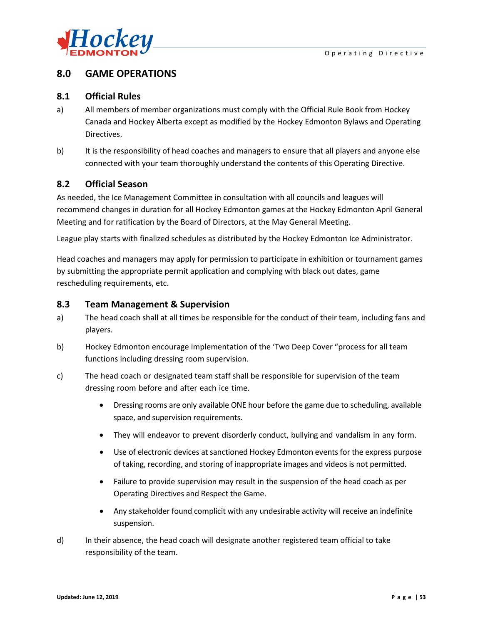

## **8.0 GAME OPERATIONS**

### **8.1 Official Rules**

- a) All members of member organizations must comply with the Official Rule Book from Hockey Canada and Hockey Alberta except as modified by the Hockey Edmonton Bylaws and Operating Directives.
- b) It is the responsibility of head coaches and managers to ensure that all players and anyone else connected with your team thoroughly understand the contents of this Operating Directive.

## **8.2 Official Season**

As needed, the Ice Management Committee in consultation with all councils and leagues will recommend changes in duration for all Hockey Edmonton games at the Hockey Edmonton April General Meeting and for ratification by the Board of Directors, at the May General Meeting.

League play starts with finalized schedules as distributed by the Hockey Edmonton Ice Administrator.

Head coaches and managers may apply for permission to participate in exhibition or tournament games by submitting the appropriate permit application and complying with black out dates, game rescheduling requirements, etc.

### **8.3 Team Management & Supervision**

- a) The head coach shall at all times be responsible for the conduct of their team, including fans and players.
- b) Hockey Edmonton encourage implementation of the 'Two Deep Cover "process for all team functions including dressing room supervision.
- c) The head coach or designated team staff shall be responsible for supervision of the team dressing room before and after each ice time.
	- Dressing rooms are only available ONE hour before the game due to scheduling, available space, and supervision requirements.
	- They will endeavor to prevent disorderly conduct, bullying and vandalism in any form.
	- Use of electronic devices at sanctioned Hockey Edmonton events for the express purpose of taking, recording, and storing of inappropriate images and videos is not permitted.
	- Failure to provide supervision may result in the suspension of the head coach as per Operating Directives and Respect the Game.
	- Any stakeholder found complicit with any undesirable activity will receive an indefinite suspension.
- d) In their absence, the head coach will designate another registered team official to take responsibility of the team.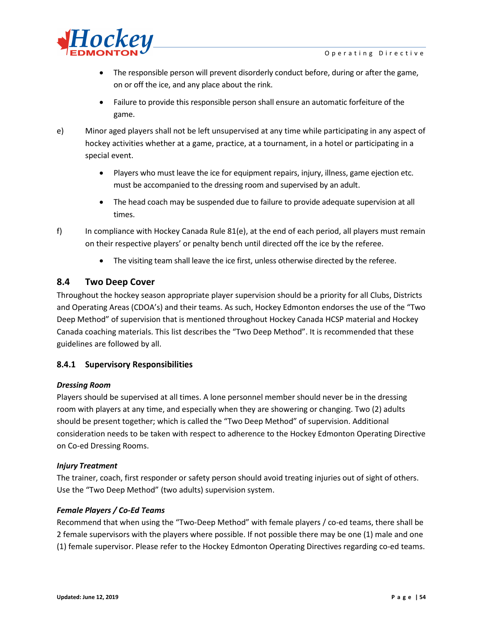

- The responsible person will prevent disorderly conduct before, during or after the game, on or off the ice, and any place about the rink.
- Failure to provide this responsible person shall ensure an automatic forfeiture of the game.
- e) Minor aged players shall not be left unsupervised at any time while participating in any aspect of hockey activities whether at a game, practice, at a tournament, in a hotel or participating in a special event.
	- Players who must leave the ice for equipment repairs, injury, illness, game ejection etc. must be accompanied to the dressing room and supervised by an adult.
	- The head coach may be suspended due to failure to provide adequate supervision at all times.
- f) In compliance with Hockey Canada Rule 81(e), at the end of each period, all players must remain on their respective players' or penalty bench until directed off the ice by the referee.
	- The visiting team shall leave the ice first, unless otherwise directed by the referee.

## **8.4 Two Deep Cover**

Throughout the hockey season appropriate player supervision should be a priority for all Clubs, Districts and Operating Areas (CDOA's) and their teams. As such, Hockey Edmonton endorses the use of the "Two Deep Method" of supervision that is mentioned throughout Hockey Canada HCSP material and Hockey Canada coaching materials. This list describes the "Two Deep Method". It is recommended that these guidelines are followed by all.

#### **8.4.1 Supervisory Responsibilities**

#### *Dressing Room*

Players should be supervised at all times. A lone personnel member should never be in the dressing room with players at any time, and especially when they are showering or changing. Two (2) adults should be present together; which is called the "Two Deep Method" of supervision. Additional consideration needs to be taken with respect to adherence to the Hockey Edmonton Operating Directive on Co-ed Dressing Rooms.

#### *Injury Treatment*

The trainer, coach, first responder or safety person should avoid treating injuries out of sight of others. Use the "Two Deep Method" (two adults) supervision system.

#### *Female Players / Co-Ed Teams*

Recommend that when using the "Two-Deep Method" with female players / co-ed teams, there shall be 2 female supervisors with the players where possible. If not possible there may be one (1) male and one (1) female supervisor. Please refer to the Hockey Edmonton Operating Directives regarding co-ed teams.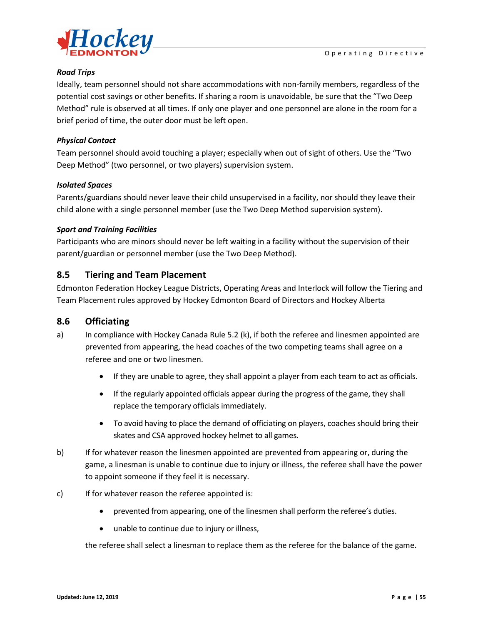

#### *Road Trips*

Ideally, team personnel should not share accommodations with non-family members, regardless of the potential cost savings or other benefits. If sharing a room is unavoidable, be sure that the "Two Deep Method" rule is observed at all times. If only one player and one personnel are alone in the room for a brief period of time, the outer door must be left open.

#### *Physical Contact*

Team personnel should avoid touching a player; especially when out of sight of others. Use the "Two Deep Method" (two personnel, or two players) supervision system.

#### *Isolated Spaces*

Parents/guardians should never leave their child unsupervised in a facility, nor should they leave their child alone with a single personnel member (use the Two Deep Method supervision system).

#### *Sport and Training Facilities*

Participants who are minors should never be left waiting in a facility without the supervision of their parent/guardian or personnel member (use the Two Deep Method).

## **8.5 Tiering and Team Placement**

Edmonton Federation Hockey League Districts, Operating Areas and Interlock will follow the Tiering and Team Placement rules approved by Hockey Edmonton Board of Directors and Hockey Alberta

#### **8.6 Officiating**

- a) In compliance with Hockey Canada Rule 5.2 (k), if both the referee and linesmen appointed are prevented from appearing, the head coaches of the two competing teams shall agree on a referee and one or two linesmen.
	- If they are unable to agree, they shall appoint a player from each team to act as officials.
	- If the regularly appointed officials appear during the progress of the game, they shall replace the temporary officials immediately.
	- To avoid having to place the demand of officiating on players, coaches should bring their skates and CSA approved hockey helmet to all games.
- b) If for whatever reason the linesmen appointed are prevented from appearing or, during the game, a linesman is unable to continue due to injury or illness, the referee shall have the power to appoint someone if they feel it is necessary.
- c) If for whatever reason the referee appointed is:
	- prevented from appearing, one of the linesmen shall perform the referee's duties.
	- unable to continue due to injury or illness,

the referee shall select a linesman to replace them as the referee for the balance of the game.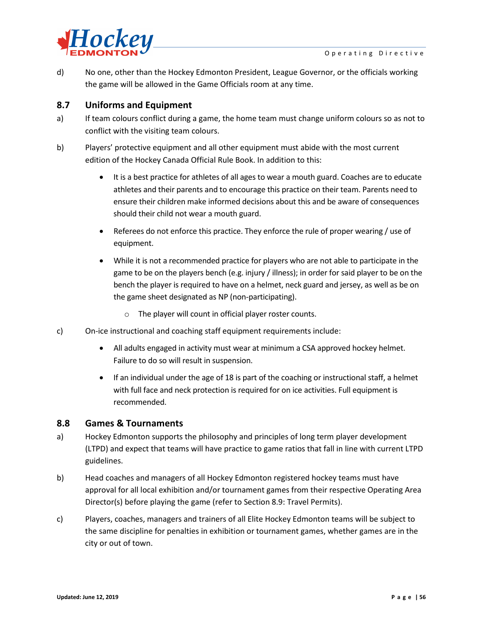

d) No one, other than the Hockey Edmonton President, League Governor, or the officials working the game will be allowed in the Game Officials room at any time.

## **8.7 Uniforms and Equipment**

- a) If team colours conflict during a game, the home team must change uniform colours so as not to conflict with the visiting team colours.
- b) Players' protective equipment and all other equipment must abide with the most current edition of the Hockey Canada Official Rule Book. In addition to this:
	- It is a best practice for athletes of all ages to wear a mouth guard. Coaches are to educate athletes and their parents and to encourage this practice on their team. Parents need to ensure their children make informed decisions about this and be aware of consequences should their child not wear a mouth guard.
	- Referees do not enforce this practice. They enforce the rule of proper wearing / use of equipment.
	- While it is not a recommended practice for players who are not able to participate in the game to be on the players bench (e.g. injury / illness); in order for said player to be on the bench the player is required to have on a helmet, neck guard and jersey, as well as be on the game sheet designated as NP (non-participating).
		- o The player will count in official player roster counts.
- c) On-ice instructional and coaching staff equipment requirements include:
	- All adults engaged in activity must wear at minimum a CSA approved hockey helmet. Failure to do so will result in suspension.
	- If an individual under the age of 18 is part of the coaching or instructional staff, a helmet with full face and neck protection is required for on ice activities. Full equipment is recommended.

#### **8.8 Games & Tournaments**

- a) Hockey Edmonton supports the philosophy and principles of long term player development (LTPD) and expect that teams will have practice to game ratios that fall in line with current LTPD guidelines.
- b) Head coaches and managers of all Hockey Edmonton registered hockey teams must have approval for all local exhibition and/or tournament games from their respective Operating Area Director(s) before playing the game (refer to Section 8.9: Travel Permits).
- c) Players, coaches, managers and trainers of all Elite Hockey Edmonton teams will be subject to the same discipline for penalties in exhibition or tournament games, whether games are in the city or out of town.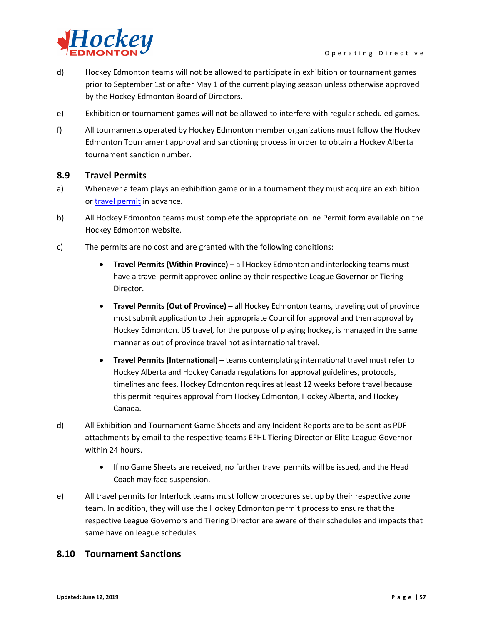

- d) Hockey Edmonton teams will not be allowed to participate in exhibition or tournament games prior to September 1st or after May 1 of the current playing season unless otherwise approved by the Hockey Edmonton Board of Directors.
- e) Exhibition or tournament games will not be allowed to interfere with regular scheduled games.
- f) All tournaments operated by Hockey Edmonton member organizations must follow the Hockey Edmonton Tournament approval and sanctioning process in order to obtain a Hockey Alberta tournament sanction number.

#### **8.9 Travel Permits**

- a) Whenever a team plays an exhibition game or in a tournament they must acquire an exhibition or [travel permit](http://www.hockeyedmonton.ca/default.aspx?p=travel/eventpermit) in advance.
- b) All Hockey Edmonton teams must complete the appropriate online Permit form available on the Hockey Edmonton website.
- c) The permits are no cost and are granted with the following conditions:
	- **Travel Permits (Within Province)**  all Hockey Edmonton and interlocking teams must have a travel permit approved online by their respective League Governor or Tiering Director.
	- **Travel Permits (Out of Province)** all Hockey Edmonton teams, traveling out of province must submit application to their appropriate Council for approval and then approval by Hockey Edmonton. US travel, for the purpose of playing hockey, is managed in the same manner as out of province travel not as international travel.
	- **Travel Permits (International)** teams contemplating international travel must refer to Hockey Alberta and Hockey Canada regulations for approval guidelines, protocols, timelines and fees. Hockey Edmonton requires at least 12 weeks before travel because this permit requires approval from Hockey Edmonton, Hockey Alberta, and Hockey Canada.
- d) All Exhibition and Tournament Game Sheets and any Incident Reports are to be sent as PDF attachments by email to the respective teams EFHL Tiering Director or Elite League Governor within 24 hours.
	- If no Game Sheets are received, no further travel permits will be issued, and the Head Coach may face suspension.
- e) All travel permits for Interlock teams must follow procedures set up by their respective zone team. In addition, they will use the Hockey Edmonton permit process to ensure that the respective League Governors and Tiering Director are aware of their schedules and impacts that same have on league schedules.

## **8.10 Tournament Sanctions**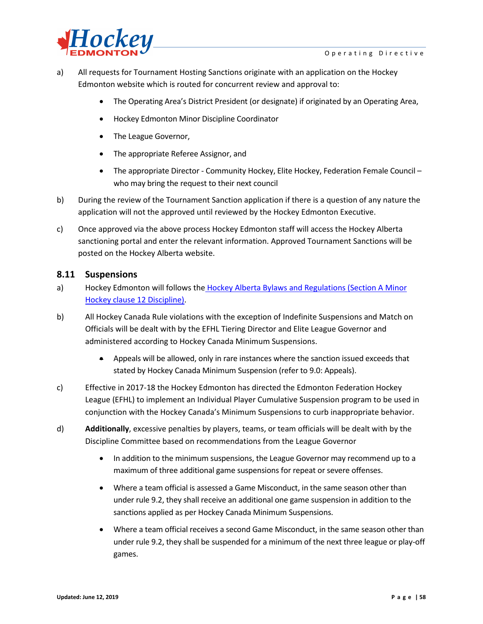

- a) All requests for Tournament Hosting Sanctions originate with an application on the Hockey Edmonton website which is routed for concurrent review and approval to:
	- The Operating Area's District President (or designate) if originated by an Operating Area,
	- Hockey Edmonton Minor Discipline Coordinator
	- The League Governor,
	- The appropriate Referee Assignor, and
	- The appropriate Director Community Hockey, Elite Hockey, Federation Female Council who may bring the request to their next council
- b) During the review of the Tournament Sanction application if there is a question of any nature the application will not the approved until reviewed by the Hockey Edmonton Executive.
- c) Once approved via the above process Hockey Edmonton staff will access the Hockey Alberta sanctioning portal and enter the relevant information. Approved Tournament Sanctions will be posted on the Hockey Alberta website.

#### **8.11 Suspensions**

- a) Hockey Edmonton will follows the Hockey Alberta Bylaws and Regulations (Section A Minor [Hockey c](http://www.hockeyalberta.ca/)lause 12 Discipline).
- b) All Hockey Canada Rule violations with the exception of Indefinite Suspensions and Match on Officials will be dealt with by the EFHL Tiering Director and Elite League Governor and administered according to Hockey Canada Minimum Suspensions.
	- Appeals will be allowed, only in rare instances where the sanction issued exceeds that stated by Hockey Canada Minimum Suspension (refer to 9.0: Appeals).
- c) Effective in 2017-18 the Hockey Edmonton has directed the Edmonton Federation Hockey League (EFHL) to implement an Individual Player Cumulative Suspension program to be used in conjunction with the Hockey Canada's Minimum Suspensions to curb inappropriate behavior.
- d) **Additionally**, excessive penalties by players, teams, or team officials will be dealt with by the Discipline Committee based on recommendations from the League Governor
	- In addition to the minimum suspensions, the League Governor may recommend up to a maximum of three additional game suspensions for repeat or severe offenses.
	- Where a team official is assessed a Game Misconduct, in the same season other than under rule 9.2, they shall receive an additional one game suspension in addition to the sanctions applied as per Hockey Canada Minimum Suspensions.
	- Where a team official receives a second Game Misconduct, in the same season other than under rule 9.2, they shall be suspended for a minimum of the next three league or play-off games.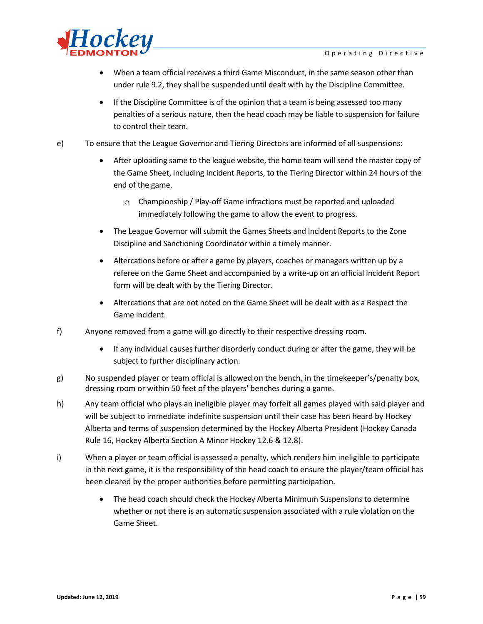

- When a team official receives a third Game Misconduct, in the same season other than under rule 9.2, they shall be suspended until dealt with by the Discipline Committee.
- If the Discipline Committee is of the opinion that a team is being assessed too many penalties of a serious nature, then the head coach may be liable to suspension for failure to control their team.
- e) To ensure that the League Governor and Tiering Directors are informed of all suspensions:
	- After uploading same to the league website, the home team will send the master copy of the Game Sheet, including Incident Reports, to the Tiering Director within 24 hours of the end of the game.
		- o Championship / Play-off Game infractions must be reported and uploaded immediately following the game to allow the event to progress.
	- The League Governor will submit the Games Sheets and Incident Reports to the Zone Discipline and Sanctioning Coordinator within a timely manner.
	- Altercations before or after a game by players, coaches or managers written up by a referee on the Game Sheet and accompanied by a write-up on an official Incident Report form will be dealt with by the Tiering Director.
	- Altercations that are not noted on the Game Sheet will be dealt with as a Respect the Game incident.
- f) Anyone removed from a game will go directly to their respective dressing room.
	- If any individual causes further disorderly conduct during or after the game, they will be subject to further disciplinary action.
- g) No suspended player or team official is allowed on the bench, in the timekeeper's/penalty box, dressing room or within 50 feet of the players' benches during a game.
- h) Any team official who plays an ineligible player may forfeit all games played with said player and will be subject to immediate indefinite suspension until their case has been heard by Hockey Alberta and terms of suspension determined by the Hockey Alberta President (Hockey Canada Rule 16, Hockey Alberta Section A Minor Hockey 12.6 & 12.8).
- i) When a player or team official is assessed a penalty, which renders him ineligible to participate in the next game, it is the responsibility of the head coach to ensure the player/team official has been cleared by the proper authorities before permitting participation.
	- The head coach should check the Hockey Alberta Minimum Suspensions to determine whether or not there is an automatic suspension associated with a rule violation on the Game Sheet.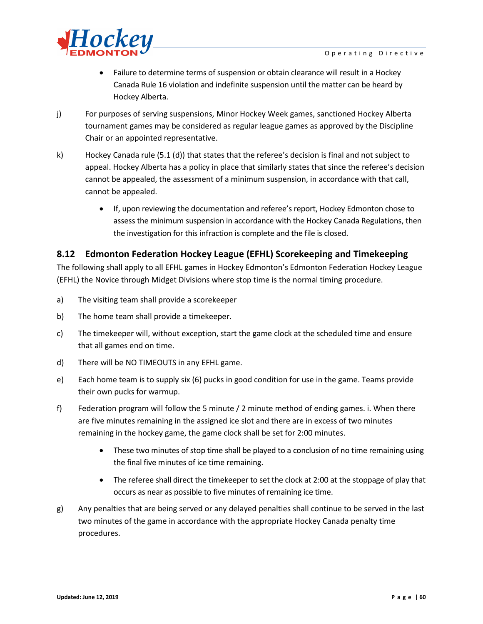

- Failure to determine terms of suspension or obtain clearance will result in a Hockey Canada Rule 16 violation and indefinite suspension until the matter can be heard by Hockey Alberta.
- j) For purposes of serving suspensions, Minor Hockey Week games, sanctioned Hockey Alberta tournament games may be considered as regular league games as approved by the Discipline Chair or an appointed representative.
- k) Hockey Canada rule (5.1 (d)) that states that the referee's decision is final and not subject to appeal. Hockey Alberta has a policy in place that similarly states that since the referee's decision cannot be appealed, the assessment of a minimum suspension, in accordance with that call, cannot be appealed.
	- If, upon reviewing the documentation and referee's report, Hockey Edmonton chose to assess the minimum suspension in accordance with the Hockey Canada Regulations, then the investigation for this infraction is complete and the file is closed.

## **8.12 Edmonton Federation Hockey League (EFHL) Scorekeeping and Timekeeping**

The following shall apply to all EFHL games in Hockey Edmonton's Edmonton Federation Hockey League (EFHL) the Novice through Midget Divisions where stop time is the normal timing procedure.

- a) The visiting team shall provide a scorekeeper
- b) The home team shall provide a timekeeper.
- c) The timekeeper will, without exception, start the game clock at the scheduled time and ensure that all games end on time.
- d) There will be NO TIMEOUTS in any EFHL game.
- e) Each home team is to supply six (6) pucks in good condition for use in the game. Teams provide their own pucks for warmup.
- f) Federation program will follow the 5 minute / 2 minute method of ending games. i. When there are five minutes remaining in the assigned ice slot and there are in excess of two minutes remaining in the hockey game, the game clock shall be set for 2:00 minutes.
	- These two minutes of stop time shall be played to a conclusion of no time remaining using the final five minutes of ice time remaining.
	- The referee shall direct the timekeeper to set the clock at 2:00 at the stoppage of play that occurs as near as possible to five minutes of remaining ice time.
- g) Any penalties that are being served or any delayed penalties shall continue to be served in the last two minutes of the game in accordance with the appropriate Hockey Canada penalty time procedures.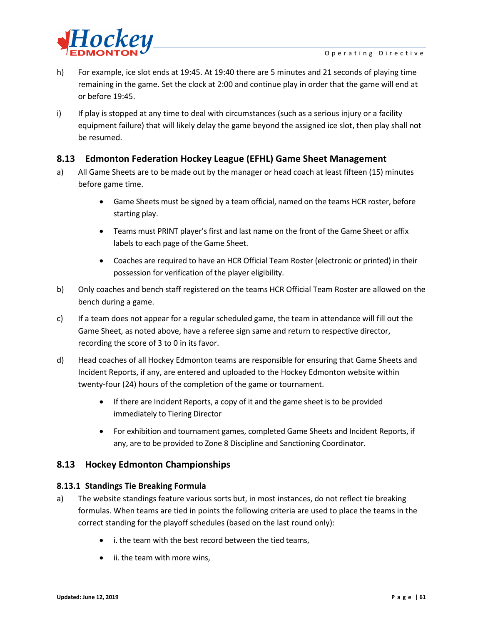

- h) For example, ice slot ends at 19:45. At 19:40 there are 5 minutes and 21 seconds of playing time remaining in the game. Set the clock at 2:00 and continue play in order that the game will end at or before 19:45.
- i) If play is stopped at any time to deal with circumstances (such as a serious injury or a facility equipment failure) that will likely delay the game beyond the assigned ice slot, then play shall not be resumed.

## **8.13 Edmonton Federation Hockey League (EFHL) Game Sheet Management**

- a) All Game Sheets are to be made out by the manager or head coach at least fifteen (15) minutes before game time.
	- Game Sheets must be signed by a team official, named on the teams HCR roster, before starting play.
	- Teams must PRINT player's first and last name on the front of the Game Sheet or affix labels to each page of the Game Sheet.
	- Coaches are required to have an HCR Official Team Roster (electronic or printed) in their possession for verification of the player eligibility.
- b) Only coaches and bench staff registered on the teams HCR Official Team Roster are allowed on the bench during a game.
- c) If a team does not appear for a regular scheduled game, the team in attendance will fill out the Game Sheet, as noted above, have a referee sign same and return to respective director, recording the score of 3 to 0 in its favor.
- d) Head coaches of all Hockey Edmonton teams are responsible for ensuring that Game Sheets and Incident Reports, if any, are entered and uploaded to the Hockey Edmonton website within twenty-four (24) hours of the completion of the game or tournament.
	- If there are Incident Reports, a copy of it and the game sheet is to be provided immediately to Tiering Director
	- For exhibition and tournament games, completed Game Sheets and Incident Reports, if any, are to be provided to Zone 8 Discipline and Sanctioning Coordinator.

## **8.13 Hockey Edmonton Championships**

#### **8.13.1 Standings Tie Breaking Formula**

- a) The website standings feature various sorts but, in most instances, do not reflect tie breaking formulas. When teams are tied in points the following criteria are used to place the teams in the correct standing for the playoff schedules (based on the last round only):
	- i. the team with the best record between the tied teams,
	- ii. the team with more wins,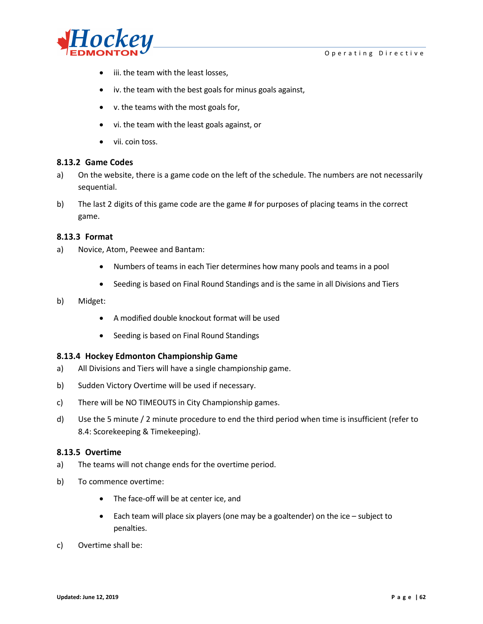



- iii. the team with the least losses,
- iv. the team with the best goals for minus goals against,
- v. the teams with the most goals for,
- vi. the team with the least goals against, or
- vii. coin toss.

#### **8.13.2 Game Codes**

- a) On the website, there is a game code on the left of the schedule. The numbers are not necessarily sequential.
- b) The last 2 digits of this game code are the game # for purposes of placing teams in the correct game.

#### **8.13.3 Format**

- a) Novice, Atom, Peewee and Bantam:
	- Numbers of teams in each Tier determines how many pools and teams in a pool
	- Seeding is based on Final Round Standings and is the same in all Divisions and Tiers

#### b) Midget:

- A modified double knockout format will be used
- Seeding is based on Final Round Standings

#### **8.13.4 Hockey Edmonton Championship Game**

- a) All Divisions and Tiers will have a single championship game.
- b) Sudden Victory Overtime will be used if necessary.
- c) There will be NO TIMEOUTS in City Championship games.
- d) Use the 5 minute / 2 minute procedure to end the third period when time is insufficient (refer to 8.4: Scorekeeping & Timekeeping).

#### **8.13.5 Overtime**

- a) The teams will not change ends for the overtime period.
- b) To commence overtime:
	- The face-off will be at center ice, and
	- Each team will place six players (one may be a goaltender) on the ice subject to penalties.
- c) Overtime shall be: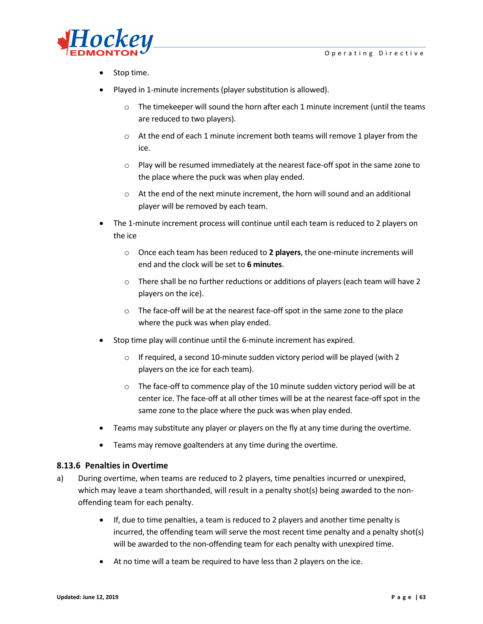

- Stop time.
- Played in 1-minute increments (player substitution is allowed).
	- $\circ$  The timekeeper will sound the horn after each 1 minute increment (until the teams are reduced to two players).
	- o At the end of each 1 minute increment both teams will remove 1 player from the ice.
	- o Play will be resumed immediately at the nearest face-off spot in the same zone to the place where the puck was when play ended.
	- o At the end of the next minute increment, the horn will sound and an additional player will be removed by each team.
- The 1-minute increment process will continue until each team is reduced to 2 players on the ice
	- o Once each team has been reduced to **2 players**, the one-minute increments will end and the clock will be set to **6 minutes**.
	- o There shall be no further reductions or additions of players (each team will have 2 players on the ice).
	- o The face-off will be at the nearest face-off spot in the same zone to the place where the puck was when play ended.
- Stop time play will continue until the 6-minute increment has expired.
	- $\circ$  If required, a second 10-minute sudden victory period will be played (with 2) players on the ice for each team).
	- o The face-off to commence play of the 10 minute sudden victory period will be at center ice. The face-off at all other times will be at the nearest face-off spot in the same zone to the place where the puck was when play ended.
- Teams may substitute any player or players on the fly at any time during the overtime.
- Teams may remove goaltenders at any time during the overtime.

#### **8.13.6 Penalties in Overtime**

- a) During overtime, when teams are reduced to 2 players, time penalties incurred or unexpired, which may leave a team shorthanded, will result in a penalty shot(s) being awarded to the nonoffending team for each penalty.
	- If, due to time penalties, a team is reduced to 2 players and another time penalty is incurred, the offending team will serve the most recent time penalty and a penalty shot(s) will be awarded to the non-offending team for each penalty with unexpired time.
	- At no time will a team be required to have less than 2 players on the ice.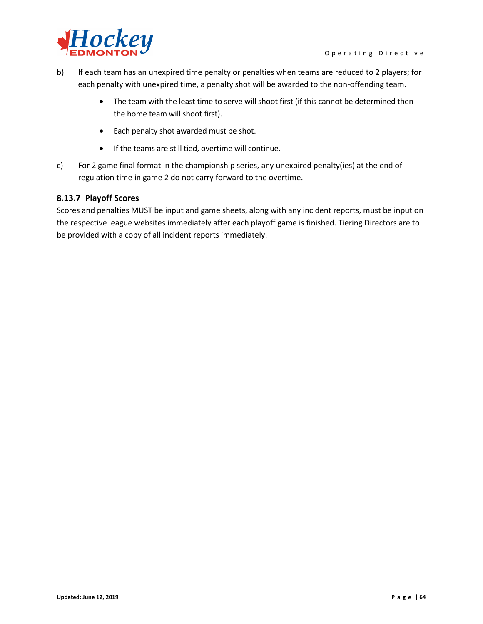

- b) If each team has an unexpired time penalty or penalties when teams are reduced to 2 players; for each penalty with unexpired time, a penalty shot will be awarded to the non-offending team.
	- The team with the least time to serve will shoot first (if this cannot be determined then the home team will shoot first).
	- Each penalty shot awarded must be shot.
	- If the teams are still tied, overtime will continue.
- c) For 2 game final format in the championship series, any unexpired penalty(ies) at the end of regulation time in game 2 do not carry forward to the overtime.

#### **8.13.7 Playoff Scores**

Scores and penalties MUST be input and game sheets, along with any incident reports, must be input on the respective league websites immediately after each playoff game is finished. Tiering Directors are to be provided with a copy of all incident reports immediately.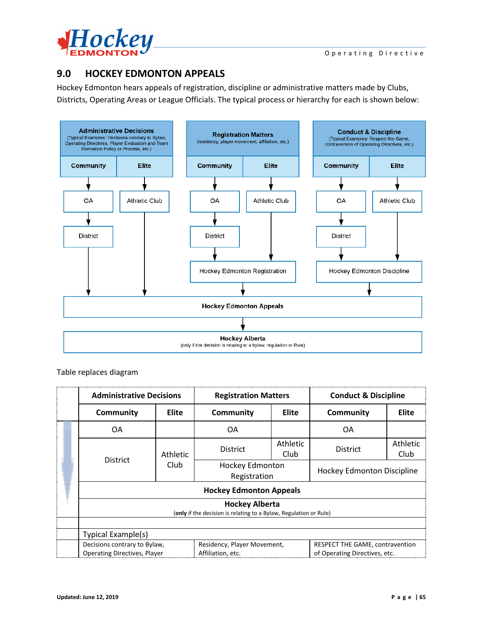

# **9.0 HOCKEY EDMONTON APPEALS**

Hockey Edmonton hears appeals of registration, discipline or administrative matters made by Clubs, Districts, Operating Areas or League Officials. The typical process or hierarchy for each is shown below:



Table replaces diagram

|  | <b>Administrative Decisions</b>                                                            |                  | <b>Registration Matters</b>                      |                         | <b>Conduct &amp; Discipline</b>                                  |                  |  |  |
|--|--------------------------------------------------------------------------------------------|------------------|--------------------------------------------------|-------------------------|------------------------------------------------------------------|------------------|--|--|
|  | <b>Community</b>                                                                           | <b>Elite</b>     | <b>Community</b>                                 | Elite                   | Community                                                        | <b>Elite</b>     |  |  |
|  | OA.                                                                                        |                  | 0A                                               |                         | 0A                                                               |                  |  |  |
|  | District                                                                                   | Athletic<br>Club | <b>District</b>                                  | Athletic<br><b>Club</b> | <b>District</b>                                                  | Athletic<br>Club |  |  |
|  |                                                                                            |                  | <b>Hockey Edmonton</b><br>Registration           |                         | <b>Hockey Edmonton Discipline</b>                                |                  |  |  |
|  | <b>Hockey Edmonton Appeals</b>                                                             |                  |                                                  |                         |                                                                  |                  |  |  |
|  | <b>Hockey Alberta</b><br>(only if the decision is relating to a Bylaw, Regulation or Rule) |                  |                                                  |                         |                                                                  |                  |  |  |
|  | Typical Example(s)                                                                         |                  |                                                  |                         |                                                                  |                  |  |  |
|  | Decisions contrary to Bylaw,<br><b>Operating Directives, Player</b>                        |                  | Residency, Player Movement,<br>Affiliation, etc. |                         | RESPECT THE GAME, contravention<br>of Operating Directives, etc. |                  |  |  |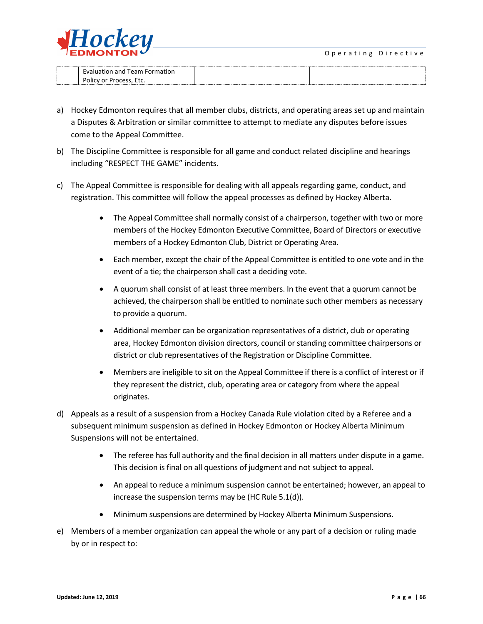

| Team<br>tion and<br>$\cdots$<br>1 J I |  |
|---------------------------------------|--|
| וור<br>.                              |  |

- a) Hockey Edmonton requires that all member clubs, districts, and operating areas set up and maintain a Disputes & Arbitration or similar committee to attempt to mediate any disputes before issues come to the Appeal Committee.
- b) The Discipline Committee is responsible for all game and conduct related discipline and hearings including "RESPECT THE GAME" incidents.
- c) The Appeal Committee is responsible for dealing with all appeals regarding game, conduct, and registration. This committee will follow the appeal processes as defined by Hockey Alberta.
	- The Appeal Committee shall normally consist of a chairperson, together with two or more members of the Hockey Edmonton Executive Committee, Board of Directors or executive members of a Hockey Edmonton Club, District or Operating Area.
	- Each member, except the chair of the Appeal Committee is entitled to one vote and in the event of a tie; the chairperson shall cast a deciding vote.
	- A quorum shall consist of at least three members. In the event that a quorum cannot be achieved, the chairperson shall be entitled to nominate such other members as necessary to provide a quorum.
	- Additional member can be organization representatives of a district, club or operating area, Hockey Edmonton division directors, council or standing committee chairpersons or district or club representatives of the Registration or Discipline Committee.
	- Members are ineligible to sit on the Appeal Committee if there is a conflict of interest or if they represent the district, club, operating area or category from where the appeal originates.
- d) Appeals as a result of a suspension from a Hockey Canada Rule violation cited by a Referee and a subsequent minimum suspension as defined in Hockey Edmonton or Hockey Alberta Minimum Suspensions will not be entertained.
	- The referee has full authority and the final decision in all matters under dispute in a game. This decision is final on all questions of judgment and not subject to appeal.
	- An appeal to reduce a minimum suspension cannot be entertained; however, an appeal to increase the suspension terms may be (HC Rule 5.1(d)).
	- Minimum suspensions are determined by [Hockey Alberta Minimum Suspensions.](http://www.hockeyalberta.ca/index.php/ci_id/184970/la_id/1.htm)
- e) Members of a member organization can appeal the whole or any part of a decision or ruling made by or in respect to: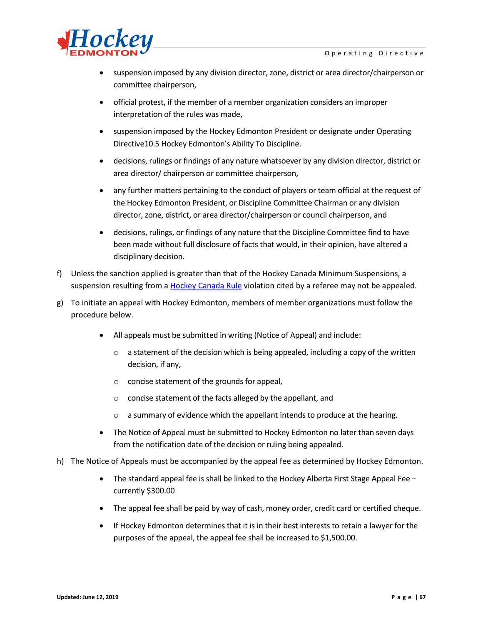

- suspension imposed by any division director, zone, district or area director/chairperson or committee chairperson,
- official protest, if the member of a member organization considers an improper interpretation of the rules was made,
- suspension imposed by the Hockey Edmonton President or designate under Operating Directive10.5 Hockey Edmonton's Ability To Discipline.
- decisions, rulings or findings of any nature whatsoever by any division director, district or area director/ chairperson or committee chairperson,
- any further matters pertaining to the conduct of players or team official at the request of the Hockey Edmonton President, or Discipline Committee Chairman or any division director, zone, district, or area director/chairperson or council chairperson, and
- decisions, rulings, or findings of any nature that the Discipline Committee find to have been made without full disclosure of facts that would, in their opinion, have altered a disciplinary decision.
- f) Unless the sanction applied is greater than that of the Hockey Canada Minimum Suspensions, a suspension resulting from a [Hockey Canada Rule](http://www.hockeycanada.ca/en-ca) violation cited by a referee may not be appealed.
- g) To initiate an appeal with Hockey Edmonton, members of member organizations must follow the procedure below.
	- All appeals must be submitted in writing (Notice of Appeal) and include:
		- $\circ$  a statement of the decision which is being appealed, including a copy of the written decision, if any,
		- o concise statement of the grounds for appeal,
		- o concise statement of the facts alleged by the appellant, and
		- o a summary of evidence which the appellant intends to produce at the hearing.
	- The Notice of Appeal must be submitted to Hockey Edmonton no later than seven days from the notification date of the decision or ruling being appealed.
- h) The Notice of Appeals must be accompanied by the appeal fee as determined by Hockey Edmonton.
	- The standard appeal fee is shall be linked to the Hockey Alberta First Stage Appeal Fee currently \$300.00
	- The appeal fee shall be paid by way of cash, money order, credit card or certified cheque.
	- If Hockey Edmonton determines that it is in their best interests to retain a lawyer for the purposes of the appeal, the appeal fee shall be increased to \$1,500.00.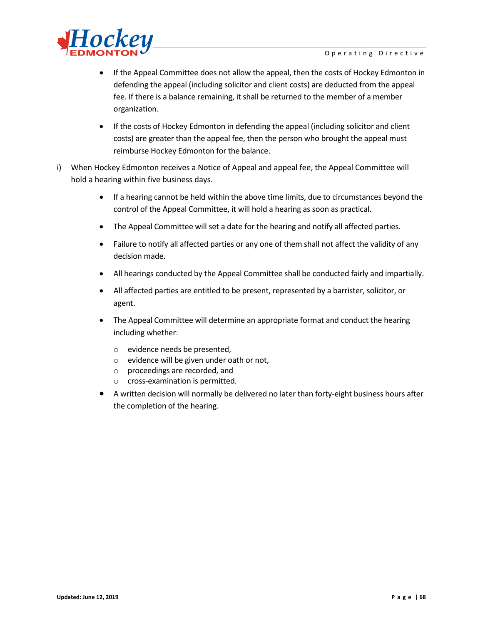

- If the Appeal Committee does not allow the appeal, then the costs of Hockey Edmonton in defending the appeal (including solicitor and client costs) are deducted from the appeal fee. If there is a balance remaining, it shall be returned to the member of a member organization.
- If the costs of Hockey Edmonton in defending the appeal (including solicitor and client costs) are greater than the appeal fee, then the person who brought the appeal must reimburse Hockey Edmonton for the balance.
- i) When Hockey Edmonton receives a Notice of Appeal and appeal fee, the Appeal Committee will hold a hearing within five business days.
	- If a hearing cannot be held within the above time limits, due to circumstances beyond the control of the Appeal Committee, it will hold a hearing as soon as practical.
	- The Appeal Committee will set a date for the hearing and notify all affected parties.
	- Failure to notify all affected parties or any one of them shall not affect the validity of any decision made.
	- All hearings conducted by the Appeal Committee shall be conducted fairly and impartially.
	- All affected parties are entitled to be present, represented by a barrister, solicitor, or agent.
	- The Appeal Committee will determine an appropriate format and conduct the hearing including whether:
		- o evidence needs be presented,
		- o evidence will be given under oath or not,
		- o proceedings are recorded, and
		- o cross-examination is permitted.
	- A written decision will normally be delivered no later than forty-eight business hours after the completion of the hearing.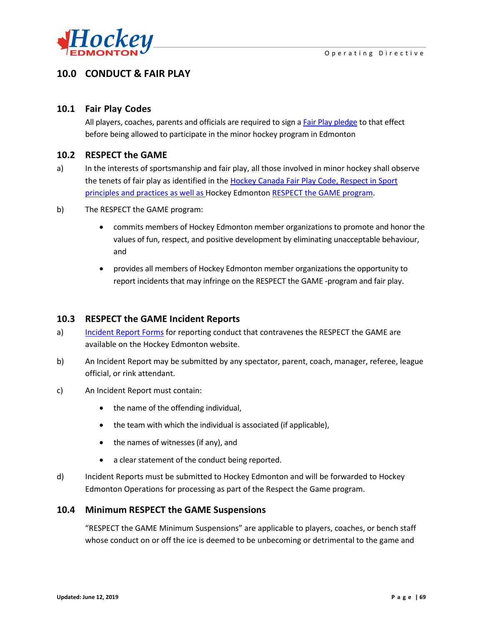

# **10.0 CONDUCT & FAIR PLAY**

## **10.1 Fair Play Codes**

All players, coaches, parents and officials are required to sign [a Fair Play pledge](http://fscs.rampinteractive.com/hockeyedmonton/files/association/FAIR%20PLAY%20PLEDGES%202011.pdf) to that effect before being allowed to participate in the minor hockey program in Edmonton

### **10.2 RESPECT the GAME**

- a) In the interests of sportsmanship and fair play, all those involved in minor hockey shall observe the tenets of fair play as identified in the [Hockey Canada Fair Play Code,](http://www.hockeycanada.ca/en-ca) [Respect in Sport](http://respectinsport.com/) principles and practices as well as Hockey Edmonton [RESPECT the GAME program.](http://fscs.rampinteractive.com/hockeyedmonton/files/association/EMHA_GOTG.pdf)
- b) The RESPECT the GAME program:
	- commits members of Hockey Edmonton member organizations to promote and honor the values of fun, respect, and positive development by eliminating unacceptable behaviour, and
	- provides all members of Hockey Edmonton member organizations the opportunity to report incidents that may infringe on the RESPECT the GAME -program and fair play.

## **10.3 RESPECT the GAME Incident Reports**

- a) [Incident Report Forms](http://fscs.rampinteractive.com/hockeyedmonton/files/association/hockey%20edmonton%20good%20of%20the%20game%20incident%20report.pdf) for reporting conduct that contravenes the RESPECT the GAME are available on the Hockey Edmonton website.
- b) An Incident Report may be submitted by any spectator, parent, coach, manager, referee, league official, or rink attendant.
- c) An Incident Report must contain:
	- the name of the offending individual,
	- the team with which the individual is associated (if applicable),
	- the names of witnesses (if any), and
	- a clear statement of the conduct being reported.
- d) Incident Reports must be submitted to Hockey Edmonton and will be forwarded to Hockey Edmonton Operations for processing as part of the Respect the Game program.

#### **10.4 Minimum RESPECT the GAME Suspensions**

"RESPECT the GAME Minimum Suspensions" are applicable to players, coaches, or bench staff whose conduct on or off the ice is deemed to be unbecoming or detrimental to the game and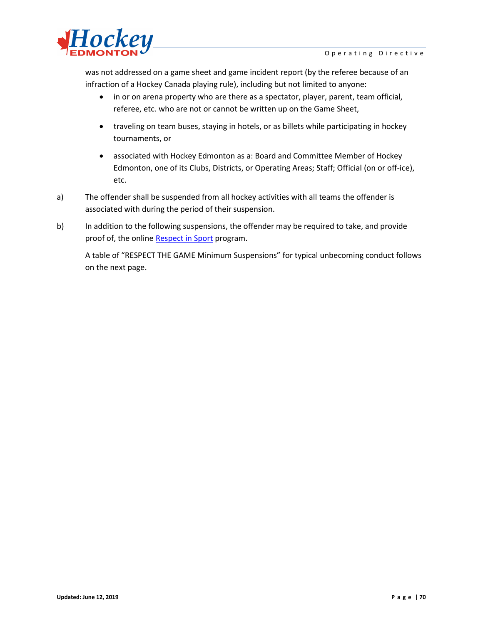

was not addressed on a game sheet and game incident report (by the referee because of an infraction of a Hockey Canada playing rule), including but not limited to anyone:

- in or on arena property who are there as a spectator, player, parent, team official, referee, etc. who are not or cannot be written up on the Game Sheet,
- traveling on team buses, staying in hotels, or as billets while participating in hockey tournaments, or
- associated with Hockey Edmonton as a: Board and Committee Member of Hockey Edmonton, one of its Clubs, Districts, or Operating Areas; Staff; Official (on or off-ice), etc.
- a) The offender shall be suspended from all hockey activities with all teams the offender is associated with during the period of their suspension.
- b) In addition to the following suspensions, the offender may be required to take, and provide proof of, the online [Respect in Sport](http://www.hockeyedmonton.ca/content/respect-in-sport) program.

A table of "RESPECT THE GAME Minimum Suspensions" for typical unbecoming conduct follows on the next page.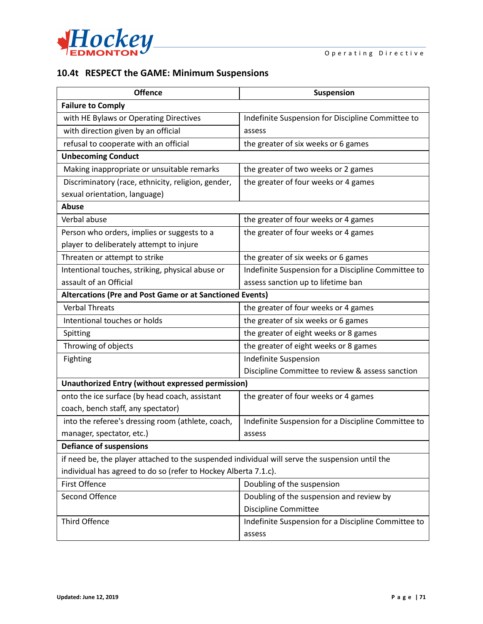

# **10.4t RESPECT the GAME: Minimum Suspensions**

| <b>Offence</b>                                                                                  | Suspension                                          |  |  |  |  |  |
|-------------------------------------------------------------------------------------------------|-----------------------------------------------------|--|--|--|--|--|
| <b>Failure to Comply</b>                                                                        |                                                     |  |  |  |  |  |
| with HE Bylaws or Operating Directives                                                          | Indefinite Suspension for Discipline Committee to   |  |  |  |  |  |
| with direction given by an official                                                             | assess                                              |  |  |  |  |  |
| refusal to cooperate with an official                                                           | the greater of six weeks or 6 games                 |  |  |  |  |  |
| <b>Unbecoming Conduct</b>                                                                       |                                                     |  |  |  |  |  |
| Making inappropriate or unsuitable remarks                                                      | the greater of two weeks or 2 games                 |  |  |  |  |  |
| Discriminatory (race, ethnicity, religion, gender,                                              | the greater of four weeks or 4 games                |  |  |  |  |  |
| sexual orientation, language)                                                                   |                                                     |  |  |  |  |  |
| Abuse                                                                                           |                                                     |  |  |  |  |  |
| Verbal abuse                                                                                    | the greater of four weeks or 4 games                |  |  |  |  |  |
| Person who orders, implies or suggests to a                                                     | the greater of four weeks or 4 games                |  |  |  |  |  |
| player to deliberately attempt to injure                                                        |                                                     |  |  |  |  |  |
| Threaten or attempt to strike                                                                   | the greater of six weeks or 6 games                 |  |  |  |  |  |
| Intentional touches, striking, physical abuse or                                                | Indefinite Suspension for a Discipline Committee to |  |  |  |  |  |
| assault of an Official                                                                          | assess sanction up to lifetime ban                  |  |  |  |  |  |
| Altercations (Pre and Post Game or at Sanctioned Events)                                        |                                                     |  |  |  |  |  |
| <b>Verbal Threats</b>                                                                           | the greater of four weeks or 4 games                |  |  |  |  |  |
| Intentional touches or holds                                                                    | the greater of six weeks or 6 games                 |  |  |  |  |  |
| Spitting                                                                                        | the greater of eight weeks or 8 games               |  |  |  |  |  |
| Throwing of objects                                                                             | the greater of eight weeks or 8 games               |  |  |  |  |  |
| Fighting                                                                                        | Indefinite Suspension                               |  |  |  |  |  |
|                                                                                                 | Discipline Committee to review & assess sanction    |  |  |  |  |  |
| <b>Unauthorized Entry (without expressed permission)</b>                                        |                                                     |  |  |  |  |  |
| onto the ice surface (by head coach, assistant                                                  | the greater of four weeks or 4 games                |  |  |  |  |  |
| coach, bench staff, any spectator)                                                              |                                                     |  |  |  |  |  |
| into the referee's dressing room (athlete, coach,                                               | Indefinite Suspension for a Discipline Committee to |  |  |  |  |  |
| manager, spectator, etc.)                                                                       | assess                                              |  |  |  |  |  |
| <b>Defiance of suspensions</b>                                                                  |                                                     |  |  |  |  |  |
| if need be, the player attached to the suspended individual will serve the suspension until the |                                                     |  |  |  |  |  |
| individual has agreed to do so (refer to Hockey Alberta 7.1.c).                                 |                                                     |  |  |  |  |  |
| First Offence                                                                                   | Doubling of the suspension                          |  |  |  |  |  |
| Second Offence                                                                                  | Doubling of the suspension and review by            |  |  |  |  |  |
|                                                                                                 | <b>Discipline Committee</b>                         |  |  |  |  |  |
| <b>Third Offence</b>                                                                            | Indefinite Suspension for a Discipline Committee to |  |  |  |  |  |
|                                                                                                 | assess                                              |  |  |  |  |  |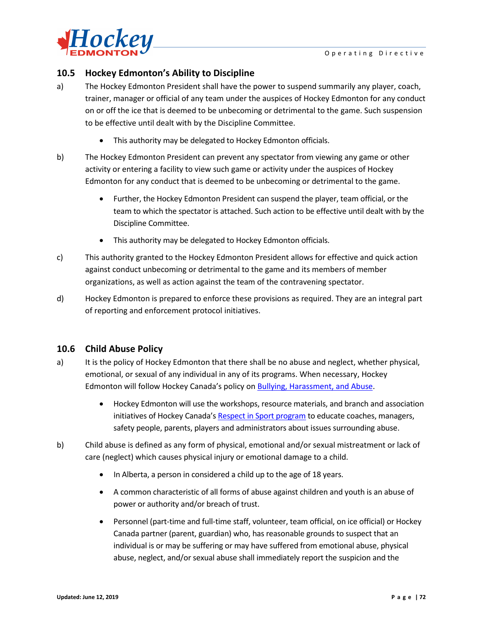

# **10.5 Hockey Edmonton's Ability to Discipline**

- a) The Hockey Edmonton President shall have the power to suspend summarily any player, coach, trainer, manager or official of any team under the auspices of Hockey Edmonton for any conduct on or off the ice that is deemed to be unbecoming or detrimental to the game. Such suspension to be effective until dealt with by the Discipline Committee.
	- This authority may be delegated to Hockey Edmonton officials.
- b) The Hockey Edmonton President can prevent any spectator from viewing any game or other activity or entering a facility to view such game or activity under the auspices of Hockey Edmonton for any conduct that is deemed to be unbecoming or detrimental to the game.
	- Further, the Hockey Edmonton President can suspend the player, team official, or the team to which the spectator is attached. Such action to be effective until dealt with by the Discipline Committee.
	- This authority may be delegated to Hockey Edmonton officials.
- c) This authority granted to the Hockey Edmonton President allows for effective and quick action against conduct unbecoming or detrimental to the game and its members of member organizations, as well as action against the team of the contravening spectator.
- d) Hockey Edmonton is prepared to enforce these provisions as required. They are an integral part of reporting and enforcement protocol initiatives.

# **10.6 Child Abuse Policy**

- a) It is the policy of Hockey Edmonton that there shall be no abuse and neglect, whether physical, emotional, or sexual of any individual in any of its programs. When necessary, Hockey Edmonton will follow Hockey Canada's policy on Bullying, [Harassment,](http://www.hockeycanada.ca/en-ca) and Abuse.
	- Hockey Edmonton will use the workshops, resource materials, and branch and association initiatives of Hockey Canada'[s Respect in Sport program](http://respectinsport.com/) to educate coaches, managers, safety people, parents, players and administrators about issues surrounding abuse.
- b) Child abuse is defined as any form of physical, emotional and/or sexual mistreatment or lack of care (neglect) which causes physical injury or emotional damage to a child.
	- In Alberta, a person in considered a child up to the age of 18 years.
	- A common characteristic of all forms of abuse against children and youth is an abuse of power or authority and/or breach of trust.
	- Personnel (part-time and full-time staff, volunteer, team official, on ice official) or Hockey Canada partner (parent, guardian) who, has reasonable grounds to suspect that an individual is or may be suffering or may have suffered from emotional abuse, physical abuse, neglect, and/or sexual abuse shall immediately report the suspicion and the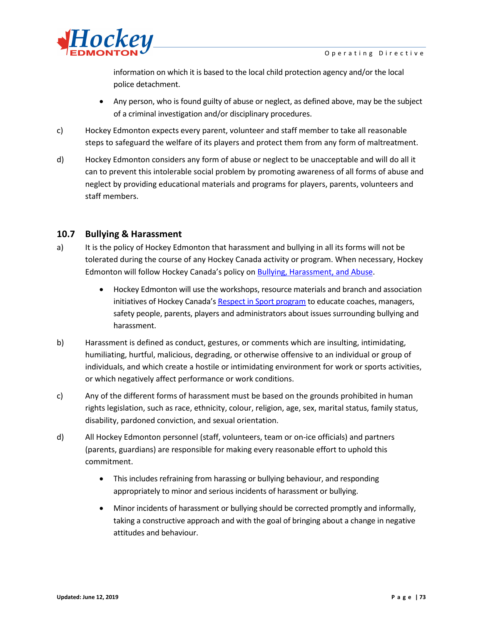

information on which it is based to the local child protection agency and/or the local police detachment.

- Any person, who is found guilty of abuse or neglect, as defined above, may be the subject of a criminal investigation and/or disciplinary procedures.
- c) Hockey Edmonton expects every parent, volunteer and staff member to take all reasonable steps to safeguard the welfare of its players and protect them from any form of maltreatment.
- d) Hockey Edmonton considers any form of abuse or neglect to be unacceptable and will do all it can to prevent this intolerable social problem by promoting awareness of all forms of abuse and neglect by providing educational materials and programs for players, parents, volunteers and staff members.

### **10.7 Bullying & Harassment**

- a) It is the policy of Hockey Edmonton that harassment and bullying in all its forms will not be tolerated during the course of any Hockey Canada activity or program. When necessary, Hockey Edmonton will follow Hockey Canada's policy on **Bullying**, [Harassment,](http://www.hockeycanada.ca/en-ca) and Abuse.
	- Hockey Edmonton will use the workshops, resource materials and branch and association initiatives of Hockey Canada'[s Respect in Sport program](http://respectinsport.com/) to educate coaches, managers, safety people, parents, players and administrators about issues surrounding bullying and harassment.
- b) Harassment is defined as conduct, gestures, or comments which are insulting, intimidating, humiliating, hurtful, malicious, degrading, or otherwise offensive to an individual or group of individuals, and which create a hostile or intimidating environment for work or sports activities, or which negatively affect performance or work conditions.
- c) Any of the different forms of harassment must be based on the grounds prohibited in human rights legislation, such as race, ethnicity, colour, religion, age, sex, marital status, family status, disability, pardoned conviction, and sexual orientation.
- d) All Hockey Edmonton personnel (staff, volunteers, team or on-ice officials) and partners (parents, guardians) are responsible for making every reasonable effort to uphold this commitment.
	- This includes refraining from harassing or bullying behaviour, and responding appropriately to minor and serious incidents of harassment or bullying.
	- Minor incidents of harassment or bullying should be corrected promptly and informally, taking a constructive approach and with the goal of bringing about a change in negative attitudes and behaviour.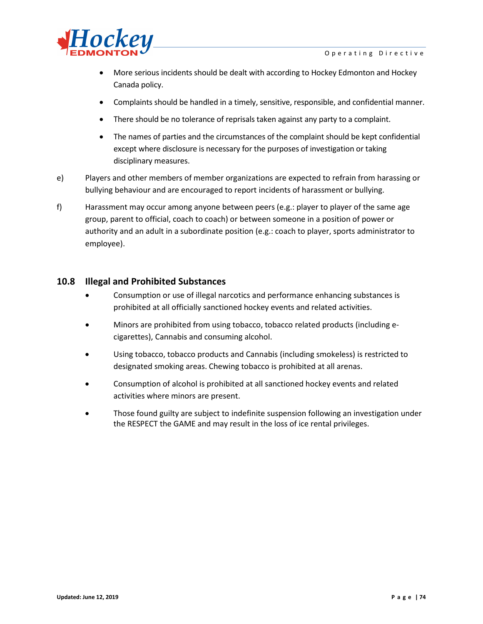

- More serious incidents should be dealt with according to Hockey Edmonton and Hockey Canada policy.
- Complaints should be handled in a timely, sensitive, responsible, and confidential manner.
- There should be no tolerance of reprisals taken against any party to a complaint.
- The names of parties and the circumstances of the complaint should be kept confidential except where disclosure is necessary for the purposes of investigation or taking disciplinary measures.
- e) Players and other members of member organizations are expected to refrain from harassing or bullying behaviour and are encouraged to report incidents of harassment or bullying.
- f) Harassment may occur among anyone between peers (e.g.: player to player of the same age group, parent to official, coach to coach) or between someone in a position of power or authority and an adult in a subordinate position (e.g.: coach to player, sports administrator to employee).

#### **10.8 Illegal and Prohibited Substances**

- Consumption or use of illegal narcotics and performance enhancing substances is prohibited at all officially sanctioned hockey events and related activities.
- Minors are prohibited from using tobacco, tobacco related products (including ecigarettes), Cannabis and consuming alcohol.
- Using tobacco, tobacco products and Cannabis (including smokeless) is restricted to designated smoking areas. Chewing tobacco is prohibited at all arenas.
- Consumption of alcohol is prohibited at all sanctioned hockey events and related activities where minors are present.
- Those found guilty are subject to indefinite suspension following an investigation under the RESPECT the GAME and may result in the loss of ice rental privileges.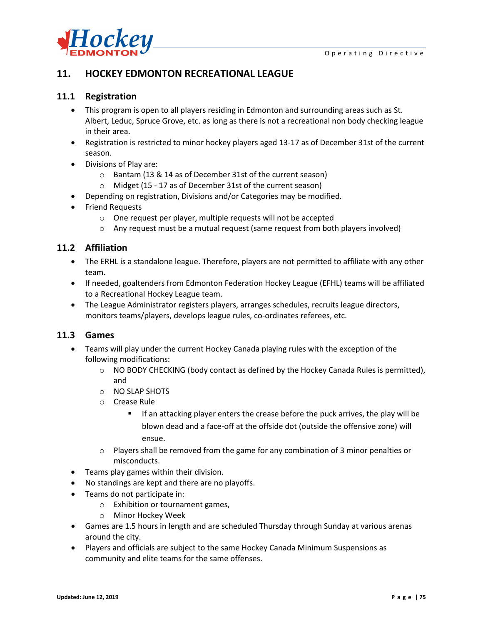

## **11. HOCKEY EDMONTON RECREATIONAL LEAGUE**

### **11.1 Registration**

- This program is open to all players residing in Edmonton and surrounding areas such as St. Albert, Leduc, Spruce Grove, etc. as long as there is not a recreational non body checking league in their area.
- Registration is restricted to minor hockey players aged 13-17 as of December 31st of the current season.
- Divisions of Play are:
	- o Bantam (13 & 14 as of December 31st of the current season)
	- o Midget (15 17 as of December 31st of the current season)
- Depending on registration, Divisions and/or Categories may be modified.
- Friend Requests
	- o One request per player, multiple requests will not be accepted
	- $\circ$  Any request must be a mutual request (same request from both players involved)

#### **11.2 Affiliation**

- The ERHL is a standalone league. Therefore, players are not permitted to affiliate with any other team.
- If needed, goaltenders from Edmonton Federation Hockey League (EFHL) teams will be affiliated to a Recreational Hockey League team.
- The League Administrator registers players, arranges schedules, recruits league directors, monitors teams/players, develops league rules, co-ordinates referees, etc.

### **11.3 Games**

- Teams will play under the current Hockey Canada playing rules with the exception of the following modifications:
	- $\circ$  NO BODY CHECKING (body contact as defined by the Hockey Canada Rules is permitted), and
	- o NO SLAP SHOTS
	- o Crease Rule
		- **If an attacking player enters the crease before the puck arrives, the play will be** blown dead and a face-off at the offside dot (outside the offensive zone) will ensue.
	- $\circ$  Players shall be removed from the game for any combination of 3 minor penalties or misconducts.
- Teams play games within their division.
- No standings are kept and there are no playoffs.
- Teams do not participate in:
	- o Exhibition or tournament games,
	- o Minor Hockey Week
- Games are 1.5 hours in length and are scheduled Thursday through Sunday at various arenas around the city.
- Players and officials are subject to the same Hockey Canada Minimum Suspensions as community and elite teams for the same offenses.